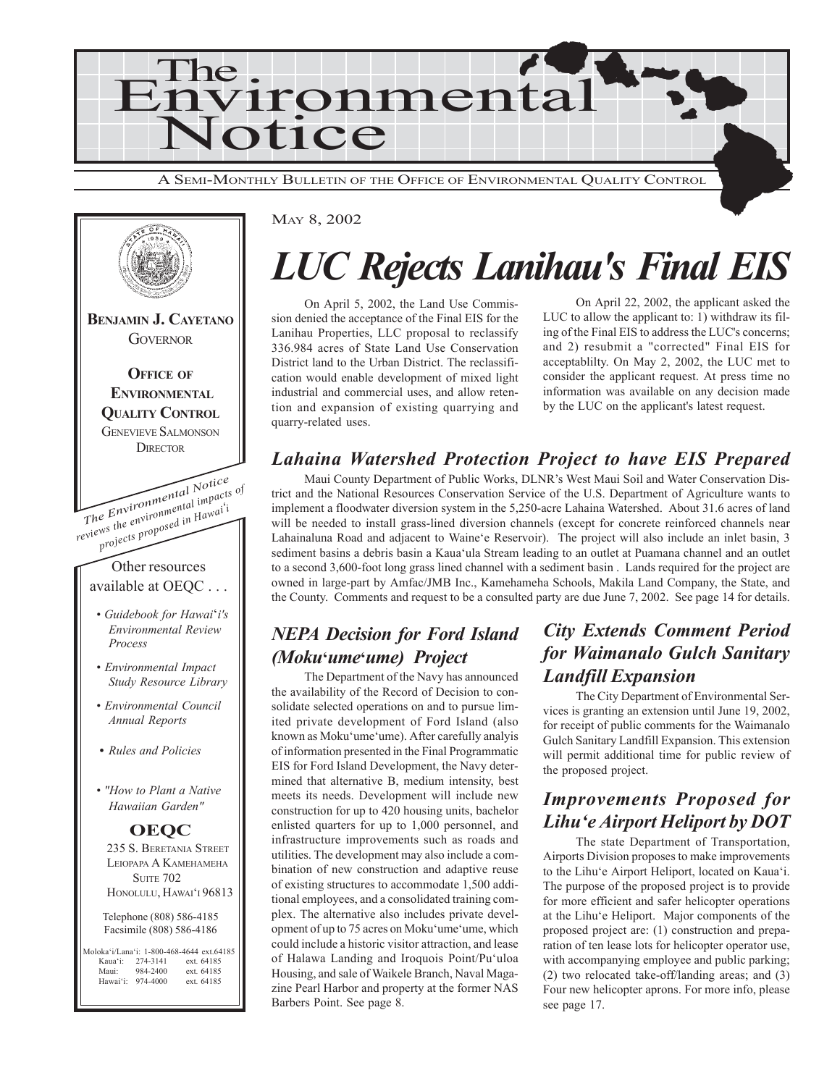



# *LUC Rejects Lanihau's Final EIS*

On April 5, 2002, the Land Use Commission denied the acceptance of the Final EIS for the Lanihau Properties, LLC proposal to reclassify 336.984 acres of State Land Use Conservation District land to the Urban District. The reclassification would enable development of mixed light industrial and commercial uses, and allow retention and expansion of existing quarrying and quarry-related uses.

On April 22, 2002, the applicant asked the LUC to allow the applicant to: 1) withdraw its filing of the Final EIS to address the LUC's concerns; and 2) resubmit a "corrected" Final EIS for acceptablilty. On May 2, 2002, the LUC met to consider the applicant request. At press time no information was available on any decision made by the LUC on the applicant's latest request.

# *Lahaina Watershed Protection Project to have EIS Prepared*

Maui County Department of Public Works, DLNR's West Maui Soil and Water Conservation District and the National Resources Conservation Service of the U.S. Department of Agriculture wants to implement a floodwater diversion system in the 5,250-acre Lahaina Watershed. About 31.6 acres of land will be needed to install grass-lined diversion channels (except for concrete reinforced channels near Lahainaluna Road and adjacent to Waineëe Reservoir). The project will also include an inlet basin, 3 sediment basins a debris basin a Kauaëula Stream leading to an outlet at Puamana channel and an outlet to a second 3,600-foot long grass lined channel with a sediment basin . Lands required for the project are owned in large-part by Amfac/JMB Inc., Kamehameha Schools, Makila Land Company, the State, and the County. Comments and request to be a consulted party are due June 7, 2002. See page 14 for details.

# *NEPA Decision for Ford Island (Moku***ë***ume***ë***ume) Project*

The Department of the Navy has announced the availability of the Record of Decision to consolidate selected operations on and to pursue limited private development of Ford Island (also known as Moku'ume'ume). After carefully analyis of information presented in the Final Programmatic EIS for Ford Island Development, the Navy determined that alternative B, medium intensity, best meets its needs. Development will include new construction for up to 420 housing units, bachelor enlisted quarters for up to 1,000 personnel, and infrastructure improvements such as roads and utilities. The development may also include a combination of new construction and adaptive reuse of existing structures to accommodate 1,500 additional employees, and a consolidated training complex. The alternative also includes private development of up to 75 acres on Moku'ume'ume, which could include a historic visitor attraction, and lease of Halawa Landing and Iroquois Point/Pu'uloa Housing, and sale of Waikele Branch, Naval Magazine Pearl Harbor and property at the former NAS Barbers Point. See page 8.

# *City Extends Comment Period for Waimanalo Gulch Sanitary Landfill Expansion*

The City Department of Environmental Services is granting an extension until June 19, 2002, for receipt of public comments for the Waimanalo Gulch Sanitary Landfill Expansion. This extension will permit additional time for public review of the proposed project.

# *Improvements Proposed for Lihuëe Airport Heliport by DOT*

The state Department of Transportation, Airports Division proposes to make improvements to the Lihu'e Airport Heliport, located on Kaua'i. The purpose of the proposed project is to provide for more efficient and safer helicopter operations at the Lihuëe Heliport. Major components of the proposed project are: (1) construction and preparation of ten lease lots for helicopter operator use, with accompanying employee and public parking; (2) two relocated take-off/landing areas; and (3) Four new helicopter aprons. For more info, please see page 17.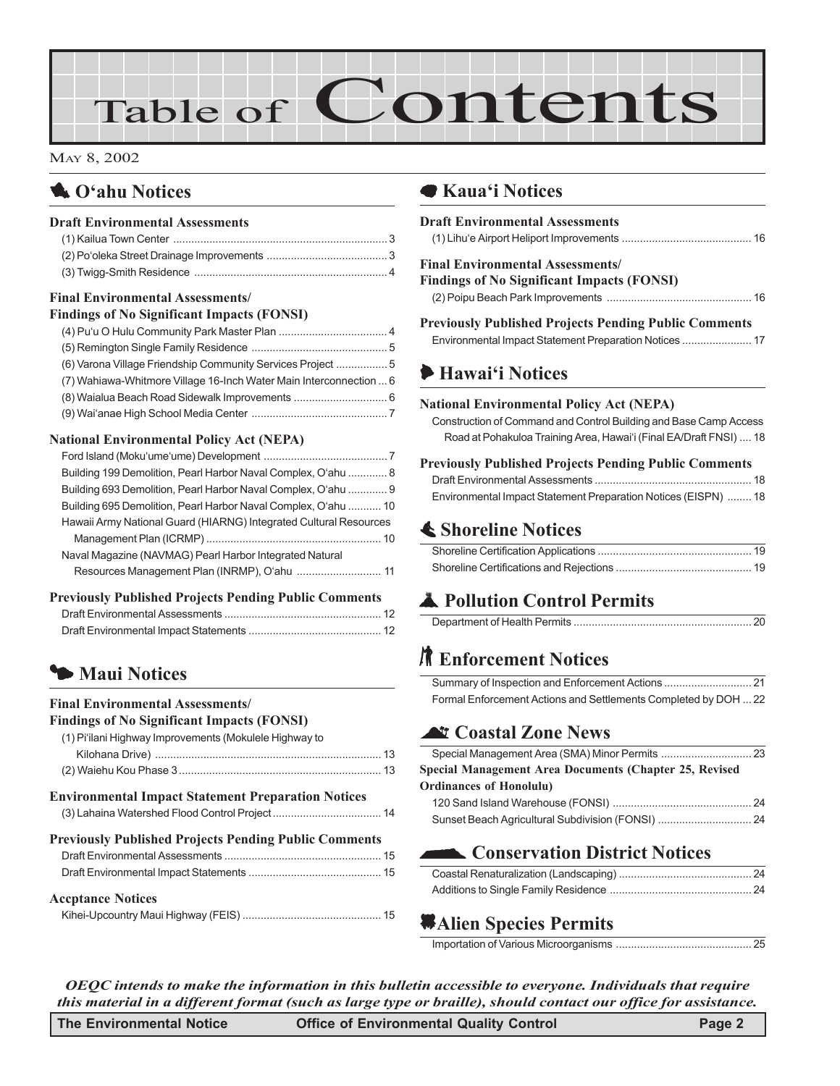# Table of Contents

#### MAY 8, 2002

# **1** O'ahu Notices

#### **Draft Environmental Assessments**

#### **Final Environmental Assessments/**

| <b>Findings of No Significant Impacts (FONSI)</b> |  |
|---------------------------------------------------|--|
|                                                   |  |
|                                                   |  |

| (6) Varona Village Friendship Community Services Project 5         |  |
|--------------------------------------------------------------------|--|
| (7) Wahiawa-Whitmore Village 16-Inch Water Main Interconnection  6 |  |
|                                                                    |  |
|                                                                    |  |

#### **National Environmental Policy Act (NEPA)**

| Building 199 Demolition, Pearl Harbor Naval Complex, O'ahu  8     |  |
|-------------------------------------------------------------------|--|
| Building 693 Demolition, Pearl Harbor Naval Complex, O'ahu  9     |  |
| Building 695 Demolition, Pearl Harbor Naval Complex, O'ahu  10    |  |
| Hawaii Army National Guard (HIARNG) Integrated Cultural Resources |  |
|                                                                   |  |
| Naval Magazine (NAVMAG) Pearl Harbor Integrated Natural           |  |
| Resources Management Plan (INRMP), O'ahu  11                      |  |

#### **Previously Published Projects Pending Public Comments**

# 3 **Maui Notices**

#### **Final Environmental Assessments/**

| <b>Findings of No Significant Impacts (FONSI)</b><br>(1) Pi'ilani Highway Improvements (Mokulele Highway to |  |
|-------------------------------------------------------------------------------------------------------------|--|
|                                                                                                             |  |
|                                                                                                             |  |
| <b>Environmental Impact Statement Preparation Notices</b>                                                   |  |
|                                                                                                             |  |
| <b>Previously Published Projects Pending Public Comments</b>                                                |  |
|                                                                                                             |  |
|                                                                                                             |  |
| <b>Accptance Notices</b>                                                                                    |  |
|                                                                                                             |  |

## 7 **Kauaëi Notices**

| <b>Draft Environmental Assessments</b>                                                                                                                                                     |
|--------------------------------------------------------------------------------------------------------------------------------------------------------------------------------------------|
| <b>Final Environmental Assessments/</b><br><b>Findings of No Significant Impacts (FONSI)</b>                                                                                               |
| <b>Previously Published Projects Pending Public Comments</b>                                                                                                                               |
| Hawai'i Notices                                                                                                                                                                            |
| <b>National Environmental Policy Act (NEPA)</b><br>Construction of Command and Control Building and Base Camp Access<br>Road at Pohakuloa Training Area, Hawai'i (Final EA/Draft FNSI)  18 |
| <b>Previously Published Projects Pending Public Comments</b><br>Environmental Impact Statement Preparation Notices (EISPN)  18                                                             |
| <b>E</b> Shoreline Notices                                                                                                                                                                 |
|                                                                                                                                                                                            |
|                                                                                                                                                                                            |
| Pollution Control Permits                                                                                                                                                                  |
|                                                                                                                                                                                            |

# **K** Enforcement Notices

| Formal Enforcement Actions and Settlements Completed by DOH  22 |  |
|-----------------------------------------------------------------|--|

# ^ **Coastal Zone News**

| Special Management Area Documents (Chapter 25, Revised |  |
|--------------------------------------------------------|--|
| <b>Ordinances of Honolulu)</b>                         |  |
|                                                        |  |
| Sunset Beach Agricultural Subdivision (FONSI)  24      |  |

# **Conservation District Notices**

# *Alien Species Permits*

Importation of Various Microorganisms ............................................. 25

*OEQC intends to make the information in this bulletin accessible to everyone. Individuals that require this material in a different format (such as large type or braille), should contact our office for assistance.*

| The Environmental Notice | <b>Office of Environmental Quality Control</b> | Page 2 |
|--------------------------|------------------------------------------------|--------|
|--------------------------|------------------------------------------------|--------|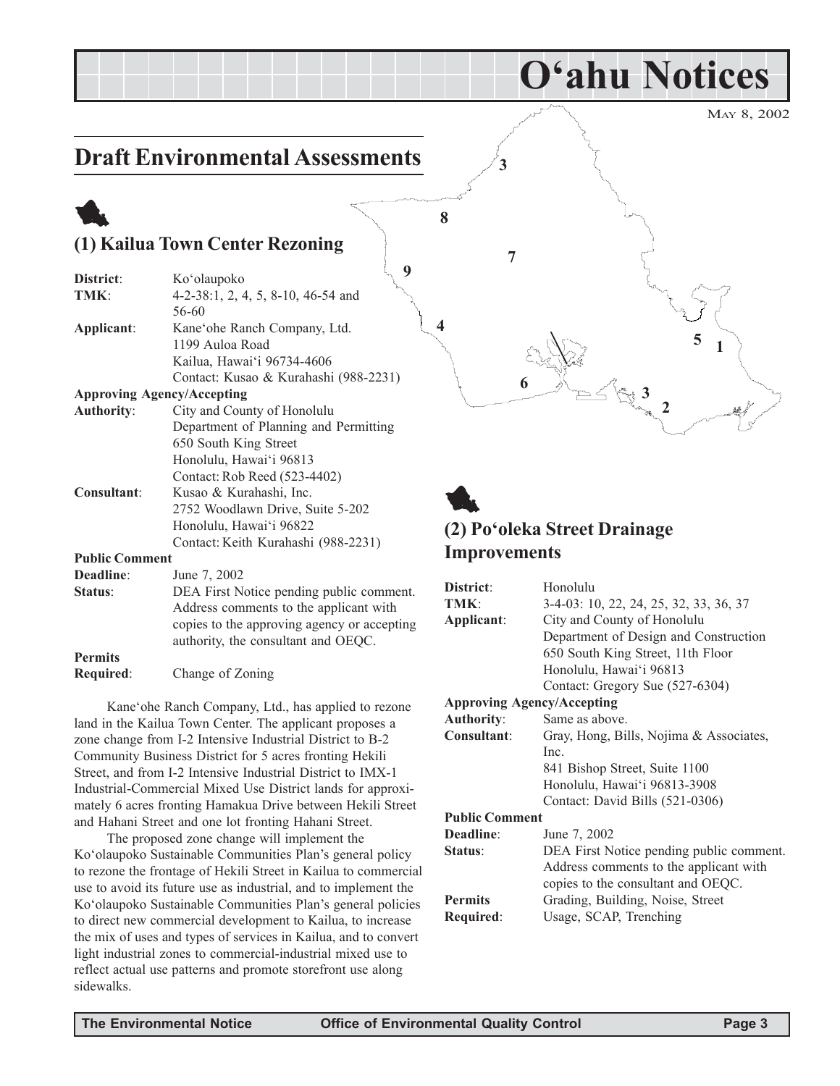# **Draft Environmental Assessments**

# 1 **(1) Kailua Town Center Rezoning**

| District:             | Ko'olaupoko                           |
|-----------------------|---------------------------------------|
| TMK:                  | 4-2-38:1, 2, 4, 5, 8-10, 46-54 and    |
|                       | 56-60                                 |
| Applicant:            | Kane'ohe Ranch Company, Ltd.          |
|                       | 1199 Auloa Road                       |
|                       | Kailua, Hawai'i 96734-4606            |
|                       | Contact: Kusao & Kurahashi (988-2231) |
|                       | <b>Approving Agency/Accepting</b>     |
| <b>Authority:</b>     | City and County of Honolulu           |
|                       | Department of Planning and Permitting |
|                       | 650 South King Street                 |
|                       | Honolulu, Hawai'i 96813               |
|                       | Contact: Rob Reed (523-4402)          |
| Consultant:           | Kusao & Kurahashi, Inc.               |
|                       | 2752 Woodlawn Drive, Suite 5-202      |
|                       | Honolulu, Hawai'i 96822               |
|                       | Contact: Keith Kurahashi (988-2231)   |
| <b>Public Comment</b> |                                       |
| Deadline:             | June 7, 2002                          |
| Status:               | DEA First Notice nending public comme |

**Status**: DEA First Notice pending public comment. Address comments to the applicant with copies to the approving agency or accepting authority, the consultant and OEQC.

**Required**: Change of Zoning

**Permits**

Kaneëohe Ranch Company, Ltd., has applied to rezone land in the Kailua Town Center. The applicant proposes a zone change from I-2 Intensive Industrial District to B-2 Community Business District for 5 acres fronting Hekili Street, and from I-2 Intensive Industrial District to IMX-1 Industrial-Commercial Mixed Use District lands for approximately 6 acres fronting Hamakua Drive between Hekili Street and Hahani Street and one lot fronting Hahani Street.

The proposed zone change will implement the Koʻolaupoko Sustainable Communities Plan's general policy to rezone the frontage of Hekili Street in Kailua to commercial use to avoid its future use as industrial, and to implement the Koʻolaupoko Sustainable Communities Plan's general policies to direct new commercial development to Kailua, to increase the mix of uses and types of services in Kailua, and to convert light industrial zones to commercial-industrial mixed use to reflect actual use patterns and promote storefront use along sidewalks.



**Oëahu Notices**

# **(2) Poëoleka Street Drainage Improvements**

1

**9**

| District:                         | Honolulu                                 |
|-----------------------------------|------------------------------------------|
| TMK:                              | 3-4-03: 10, 22, 24, 25, 32, 33, 36, 37   |
| Applicant:                        | City and County of Honolulu              |
|                                   | Department of Design and Construction    |
|                                   | 650 South King Street, 11th Floor        |
|                                   | Honolulu, Hawai'i 96813                  |
|                                   | Contact: Gregory Sue (527-6304)          |
| <b>Approving Agency/Accepting</b> |                                          |
| <b>Authority:</b>                 | Same as above.                           |
| Consultant:                       | Gray, Hong, Bills, Nojima & Associates,  |
|                                   | Inc.                                     |
|                                   | 841 Bishop Street, Suite 1100            |
|                                   | Honolulu, Hawai'i 96813-3908             |
|                                   | Contact: David Bills (521-0306)          |
| <b>Public Comment</b>             |                                          |
| Deadline:                         | June 7, 2002                             |
| Status:                           | DEA First Notice pending public comment. |
|                                   | Address comments to the applicant with   |
|                                   | copies to the consultant and OEQC.       |
| <b>Permits</b>                    | Grading, Building, Noise, Street         |
| Required:                         | Usage, SCAP, Trenching                   |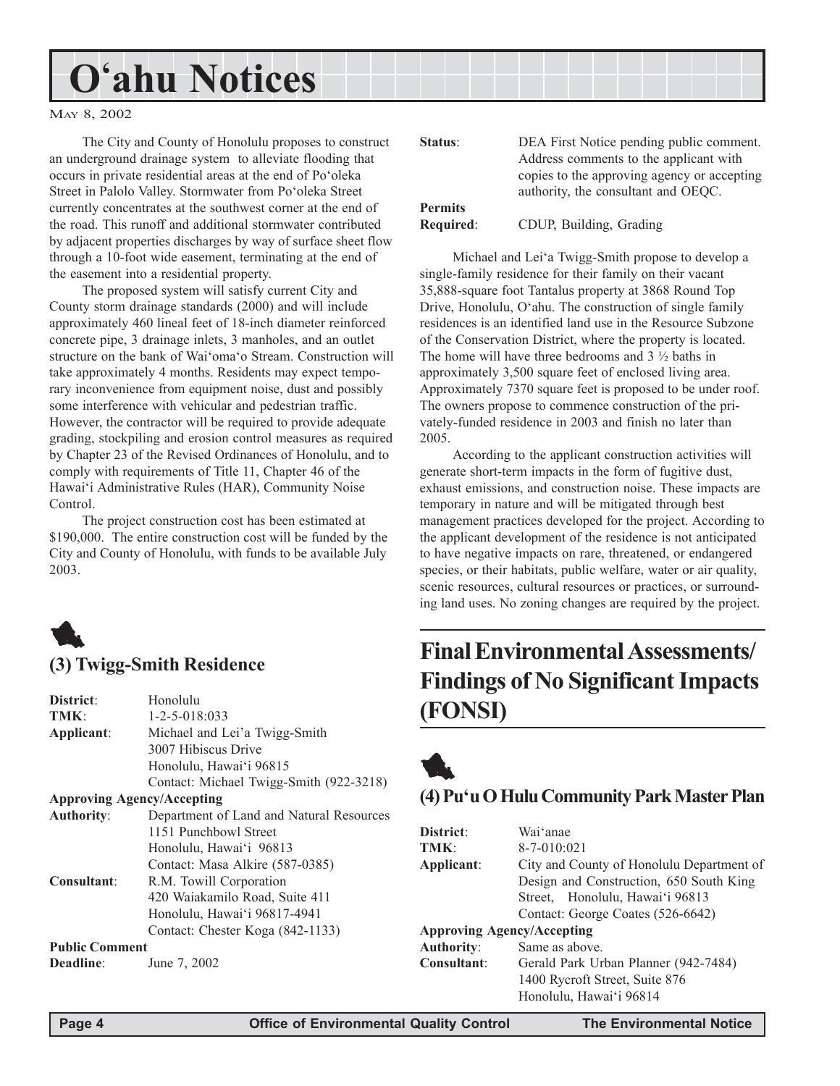#### MAY 8, 2002

The City and County of Honolulu proposes to construct an underground drainage system to alleviate flooding that occurs in private residential areas at the end of Po'oleka Street in Palolo Valley. Stormwater from Po'oleka Street currently concentrates at the southwest corner at the end of the road. This runoff and additional stormwater contributed by adjacent properties discharges by way of surface sheet flow through a 10-foot wide easement, terminating at the end of the easement into a residential property.

The proposed system will satisfy current City and County storm drainage standards (2000) and will include approximately 460 lineal feet of 18-inch diameter reinforced concrete pipe, 3 drainage inlets, 3 manholes, and an outlet structure on the bank of Wai'oma'o Stream. Construction will take approximately 4 months. Residents may expect temporary inconvenience from equipment noise, dust and possibly some interference with vehicular and pedestrian traffic. However, the contractor will be required to provide adequate grading, stockpiling and erosion control measures as required by Chapter 23 of the Revised Ordinances of Honolulu, and to comply with requirements of Title 11, Chapter 46 of the Hawaiëi Administrative Rules (HAR), Community Noise Control.

The project construction cost has been estimated at \$190,000. The entire construction cost will be funded by the City and County of Honolulu, with funds to be available July 2003.



#### **(3) Twigg-Smith Residence**

| Honolulu                                 |
|------------------------------------------|
| $1 - 2 - 5 - 018:033$                    |
| Michael and Lei'a Twigg-Smith            |
| 3007 Hibiscus Drive                      |
| Honolulu, Hawai'i 96815                  |
| Contact: Michael Twigg-Smith (922-3218)  |
| <b>Approving Agency/Accepting</b>        |
| Department of Land and Natural Resources |
| 1151 Punchbowl Street                    |
| Honolulu, Hawai'i 96813                  |
| Contact: Masa Alkire (587-0385)          |
| R.M. Towill Corporation                  |
| 420 Waiakamilo Road, Suite 411           |
| Honolulu, Hawai'i 96817-4941             |
| Contact: Chester Koga (842-1133)         |
| <b>Public Comment</b>                    |
| June 7, 2002                             |
|                                          |

| Status:        | DEA First Notice pending public comment.    |
|----------------|---------------------------------------------|
|                | Address comments to the applicant with      |
|                | copies to the approving agency or accepting |
|                | authority, the consultant and OEQC.         |
| <b>Permits</b> |                                             |
|                |                                             |

# **Required**: CDUP, Building, Grading

Michael and Lei'a Twigg-Smith propose to develop a single-family residence for their family on their vacant 35,888-square foot Tantalus property at 3868 Round Top Drive, Honolulu, O'ahu. The construction of single family residences is an identified land use in the Resource Subzone of the Conservation District, where the property is located. The home will have three bedrooms and  $3\frac{1}{2}$  baths in approximately 3,500 square feet of enclosed living area. Approximately 7370 square feet is proposed to be under roof. The owners propose to commence construction of the privately-funded residence in 2003 and finish no later than 2005.

According to the applicant construction activities will generate short-term impacts in the form of fugitive dust, exhaust emissions, and construction noise. These impacts are temporary in nature and will be mitigated through best management practices developed for the project. According to the applicant development of the residence is not anticipated to have negative impacts on rare, threatened, or endangered species, or their habitats, public welfare, water or air quality, scenic resources, cultural resources or practices, or surrounding land uses. No zoning changes are required by the project.

# **Final Environmental Assessments/ Findings of No Significant Impacts (FONSI)**



## **(4) Puëu O Hulu Community Park Master Plan**

| District:                         | Wai'anae                                  |  |
|-----------------------------------|-------------------------------------------|--|
| TMK:                              | $8 - 7 - 010:021$                         |  |
| Applicant:                        | City and County of Honolulu Department of |  |
|                                   | Design and Construction, 650 South King   |  |
|                                   | Street, Honolulu, Hawai'i 96813           |  |
|                                   | Contact: George Coates (526-6642)         |  |
| <b>Approving Agency/Accepting</b> |                                           |  |
| Authority:                        | Same as above.                            |  |
| Consultant:                       | Gerald Park Urban Planner (942-7484)      |  |
|                                   | 1400 Rycroft Street, Suite 876            |  |
|                                   | Honolulu, Hawai'i 96814                   |  |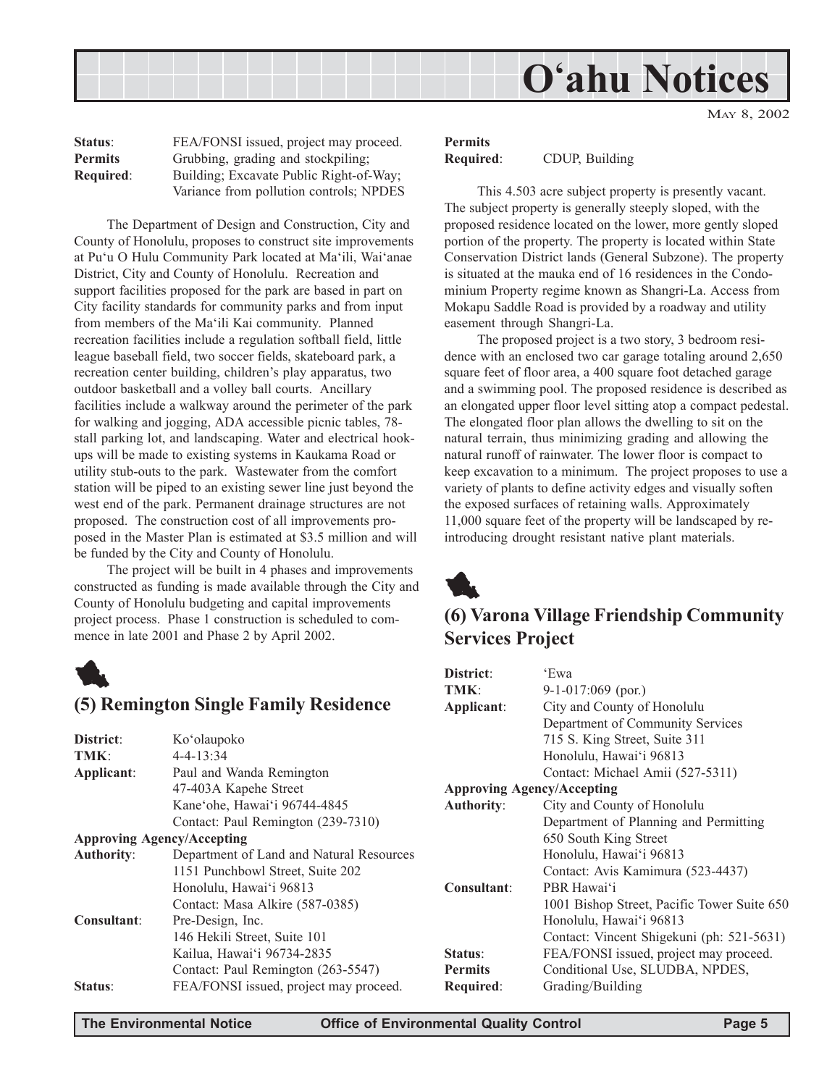MAY 8, 2002

| Status:          | FEA/FONSI issued, project may proceed.  |
|------------------|-----------------------------------------|
| <b>Permits</b>   | Grubbing, grading and stockpiling;      |
| <b>Required:</b> | Building; Excavate Public Right-of-Way; |
|                  | Variance from pollution controls; NPDES |

The Department of Design and Construction, City and County of Honolulu, proposes to construct site improvements at Puëu O Hulu Community Park located at Maëili, Waiëanae District, City and County of Honolulu. Recreation and support facilities proposed for the park are based in part on City facility standards for community parks and from input from members of the Maëili Kai community. Planned recreation facilities include a regulation softball field, little league baseball field, two soccer fields, skateboard park, a recreation center building, children's play apparatus, two outdoor basketball and a volley ball courts. Ancillary facilities include a walkway around the perimeter of the park for walking and jogging, ADA accessible picnic tables, 78 stall parking lot, and landscaping. Water and electrical hookups will be made to existing systems in Kaukama Road or utility stub-outs to the park. Wastewater from the comfort station will be piped to an existing sewer line just beyond the west end of the park. Permanent drainage structures are not proposed. The construction cost of all improvements proposed in the Master Plan is estimated at \$3.5 million and will be funded by the City and County of Honolulu.

The project will be built in 4 phases and improvements constructed as funding is made available through the City and County of Honolulu budgeting and capital improvements project process. Phase 1 construction is scheduled to commence in late 2001 and Phase 2 by April 2002.



#### **(5) Remington Single Family Residence**

| District:          | Ko'olaupoko                              |                |
|--------------------|------------------------------------------|----------------|
| TMK:               | $4 - 4 - 13:34$                          |                |
| Applicant:         | Paul and Wanda Remington                 |                |
|                    | 47-403A Kapehe Street                    | <b>Approv</b>  |
|                    | Kane'ohe, Hawai'i 96744-4845             | Authori        |
|                    | Contact: Paul Remington (239-7310)       |                |
|                    | <b>Approving Agency/Accepting</b>        |                |
| <b>Authority:</b>  | Department of Land and Natural Resources |                |
|                    | 1151 Punchbowl Street, Suite 202         |                |
|                    | Honolulu, Hawai'i 96813                  | <b>Consult</b> |
|                    | Contact: Masa Alkire (587-0385)          |                |
| <b>Consultant:</b> | Pre-Design, Inc.                         |                |
|                    | 146 Hekili Street, Suite 101             |                |
|                    | Kailua, Hawai'i 96734-2835               | Status:        |
|                    | Contact: Paul Remington (263-5547)       | <b>Permits</b> |
| Status:            | FEA/FONSI issued, project may proceed.   | Require        |
|                    |                                          |                |

#### **Permits Required**: CDUP, Building

This 4.503 acre subject property is presently vacant. The subject property is generally steeply sloped, with the proposed residence located on the lower, more gently sloped portion of the property. The property is located within State Conservation District lands (General Subzone). The property is situated at the mauka end of 16 residences in the Condominium Property regime known as Shangri-La. Access from Mokapu Saddle Road is provided by a roadway and utility easement through Shangri-La.

The proposed project is a two story, 3 bedroom residence with an enclosed two car garage totaling around 2,650 square feet of floor area, a 400 square foot detached garage and a swimming pool. The proposed residence is described as an elongated upper floor level sitting atop a compact pedestal. The elongated floor plan allows the dwelling to sit on the natural terrain, thus minimizing grading and allowing the natural runoff of rainwater. The lower floor is compact to keep excavation to a minimum. The project proposes to use a variety of plants to define activity edges and visually soften the exposed surfaces of retaining walls. Approximately 11,000 square feet of the property will be landscaped by reintroducing drought resistant native plant materials.



# **(6) Varona Village Friendship Community Services Project**

| District:                         | 'Ewa                                        |
|-----------------------------------|---------------------------------------------|
| TMK:                              | $9-1-017:069$ (por.)                        |
| Applicant:                        | City and County of Honolulu                 |
|                                   | Department of Community Services            |
|                                   | 715 S. King Street, Suite 311               |
|                                   | Honolulu, Hawai'i 96813                     |
|                                   | Contact: Michael Amii (527-5311)            |
| <b>Approving Agency/Accepting</b> |                                             |
| <b>Authority:</b>                 | City and County of Honolulu                 |
|                                   | Department of Planning and Permitting       |
|                                   | 650 South King Street                       |
|                                   | Honolulu, Hawai'i 96813                     |
|                                   | Contact: Avis Kamimura (523-4437)           |
| Consultant:                       | PBR Hawai'i                                 |
|                                   | 1001 Bishop Street, Pacific Tower Suite 650 |
|                                   | Honolulu, Hawai'i 96813                     |
|                                   | Contact: Vincent Shigekuni (ph: 521-5631)   |
| Status:                           | FEA/FONSI issued, project may proceed.      |
| <b>Permits</b>                    | Conditional Use, SLUDBA, NPDES,             |
| Required:                         | Grading/Building                            |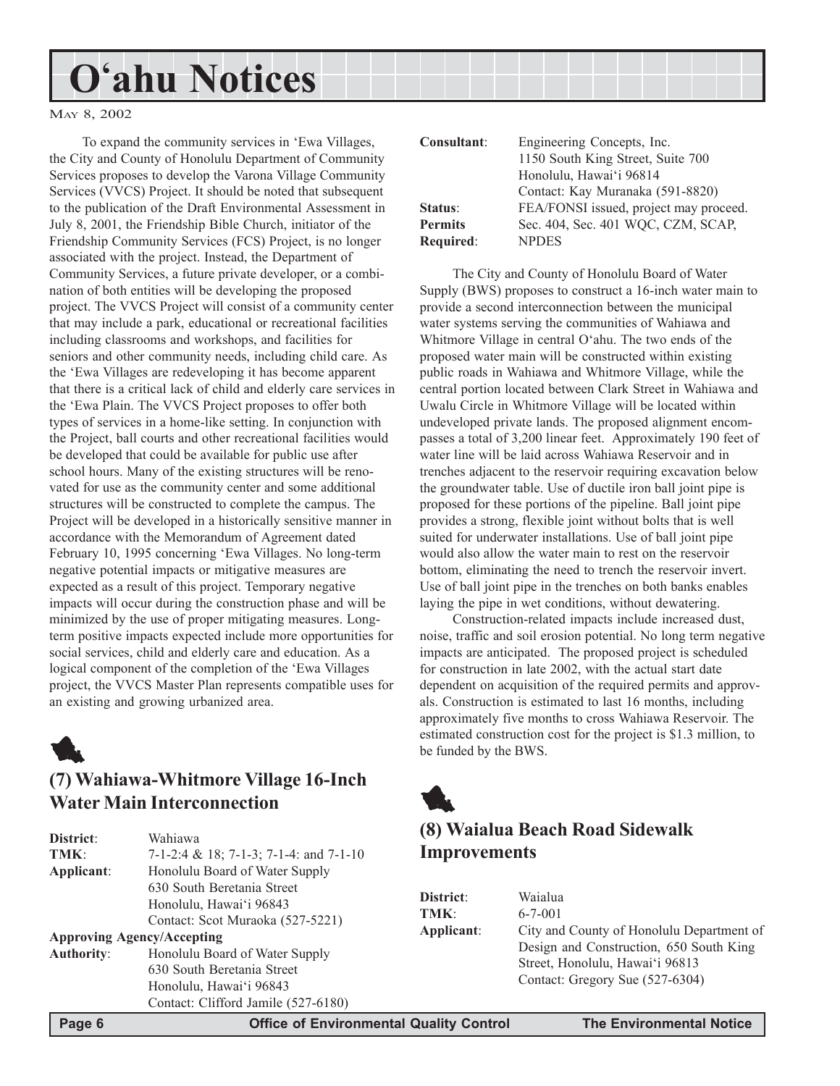#### MAY 8, 2002

To expand the community services in 'Ewa Villages, the City and County of Honolulu Department of Community Services proposes to develop the Varona Village Community Services (VVCS) Project. It should be noted that subsequent to the publication of the Draft Environmental Assessment in July 8, 2001, the Friendship Bible Church, initiator of the Friendship Community Services (FCS) Project, is no longer associated with the project. Instead, the Department of Community Services, a future private developer, or a combination of both entities will be developing the proposed project. The VVCS Project will consist of a community center that may include a park, educational or recreational facilities including classrooms and workshops, and facilities for seniors and other community needs, including child care. As the ëEwa Villages are redeveloping it has become apparent that there is a critical lack of child and elderly care services in the 'Ewa Plain. The VVCS Project proposes to offer both types of services in a home-like setting. In conjunction with the Project, ball courts and other recreational facilities would be developed that could be available for public use after school hours. Many of the existing structures will be renovated for use as the community center and some additional structures will be constructed to complete the campus. The Project will be developed in a historically sensitive manner in accordance with the Memorandum of Agreement dated February 10, 1995 concerning 'Ewa Villages. No long-term negative potential impacts or mitigative measures are expected as a result of this project. Temporary negative impacts will occur during the construction phase and will be minimized by the use of proper mitigating measures. Longterm positive impacts expected include more opportunities for social services, child and elderly care and education. As a logical component of the completion of the 'Ewa Villages project, the VVCS Master Plan represents compatible uses for an existing and growing urbanized area.



# **(7) Wahiawa-Whitmore Village 16-Inch Water Main Interconnection**

| District:                         | Wahiawa                                |
|-----------------------------------|----------------------------------------|
| TMK:                              | 7-1-2:4 & 18; 7-1-3; 7-1-4: and 7-1-10 |
| Applicant:                        | Honolulu Board of Water Supply         |
|                                   | 630 South Beretania Street             |
|                                   | Honolulu, Hawai'i 96843                |
|                                   | Contact: Scot Muraoka (527-5221)       |
| <b>Approving Agency/Accepting</b> |                                        |
| <b>Authority:</b>                 | Honolulu Board of Water Supply         |
|                                   | 630 South Beretania Street             |
|                                   | Honolulu, Hawai'i 96843                |
|                                   | Contact: Clifford Jamile (527-6180)    |

| Consultant:    | Engineering Concepts, Inc.             |
|----------------|----------------------------------------|
|                | 1150 South King Street, Suite 700      |
|                | Honolulu, Hawai'i 96814                |
|                | Contact: Kay Muranaka (591-8820)       |
| Status:        | FEA/FONSI issued, project may proceed. |
| <b>Permits</b> | Sec. 404, Sec. 401 WQC, CZM, SCAP,     |
| Required:      | <b>NPDES</b>                           |

The City and County of Honolulu Board of Water Supply (BWS) proposes to construct a 16-inch water main to provide a second interconnection between the municipal water systems serving the communities of Wahiawa and Whitmore Village in central O'ahu. The two ends of the proposed water main will be constructed within existing public roads in Wahiawa and Whitmore Village, while the central portion located between Clark Street in Wahiawa and Uwalu Circle in Whitmore Village will be located within undeveloped private lands. The proposed alignment encompasses a total of 3,200 linear feet. Approximately 190 feet of water line will be laid across Wahiawa Reservoir and in trenches adjacent to the reservoir requiring excavation below the groundwater table. Use of ductile iron ball joint pipe is proposed for these portions of the pipeline. Ball joint pipe provides a strong, flexible joint without bolts that is well suited for underwater installations. Use of ball joint pipe would also allow the water main to rest on the reservoir bottom, eliminating the need to trench the reservoir invert. Use of ball joint pipe in the trenches on both banks enables laying the pipe in wet conditions, without dewatering.

Construction-related impacts include increased dust, noise, traffic and soil erosion potential. No long term negative impacts are anticipated. The proposed project is scheduled for construction in late 2002, with the actual start date dependent on acquisition of the required permits and approvals. Construction is estimated to last 16 months, including approximately five months to cross Wahiawa Reservoir. The estimated construction cost for the project is \$1.3 million, to be funded by the BWS.



# **(8) Waialua Beach Road Sidewalk Improvements**

| District:  | Waialua                                                                                                                 |
|------------|-------------------------------------------------------------------------------------------------------------------------|
| TMK:       | $6 - 7 - 001$                                                                                                           |
| Applicant: | City and County of Honolulu Department of<br>Design and Construction, 650 South King<br>Street, Honolulu, Hawai'i 96813 |
|            | Contact: Gregory Sue (527-6304)                                                                                         |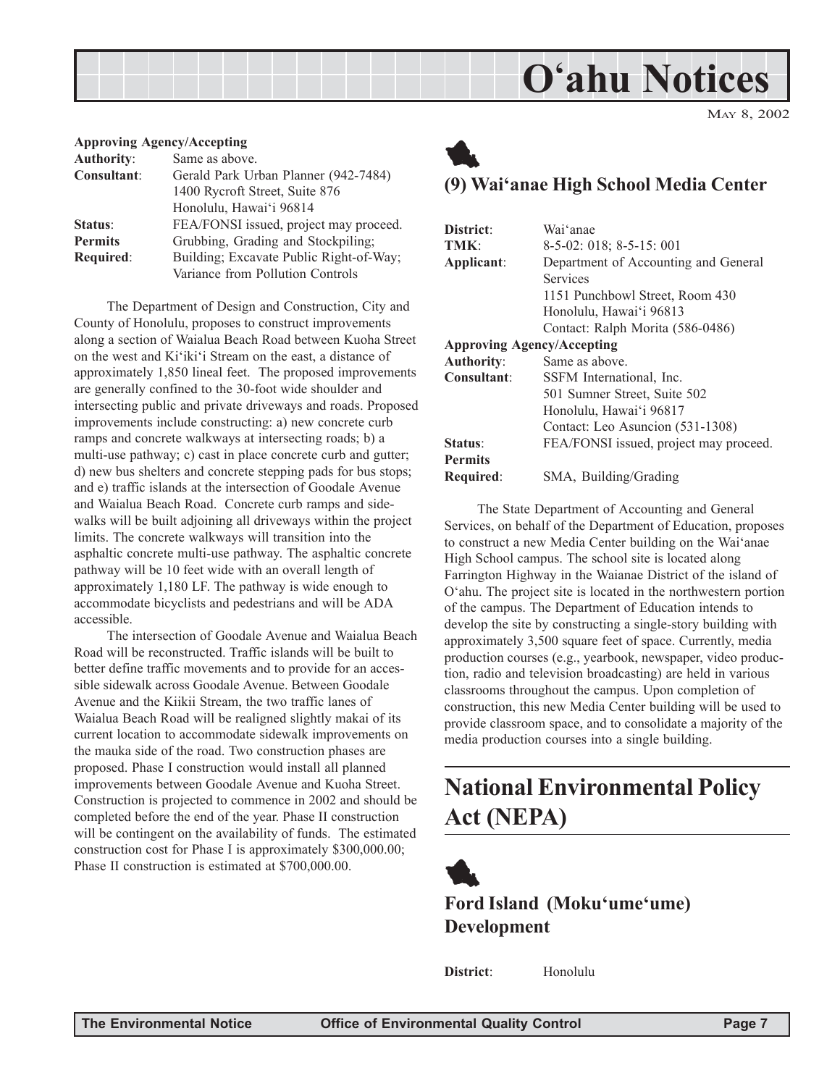MAY 8, 2002

#### **Approving Agency/Accepting**

| Same as above.                          |
|-----------------------------------------|
| Gerald Park Urban Planner (942-7484)    |
| 1400 Rycroft Street, Suite 876          |
| Honolulu, Hawai'i 96814                 |
| FEA/FONSI issued, project may proceed.  |
| Grubbing, Grading and Stockpiling;      |
| Building; Excavate Public Right-of-Way; |
| Variance from Pollution Controls        |
|                                         |

The Department of Design and Construction, City and County of Honolulu, proposes to construct improvements along a section of Waialua Beach Road between Kuoha Street on the west and Ki'iki'i Stream on the east, a distance of approximately 1,850 lineal feet. The proposed improvements are generally confined to the 30-foot wide shoulder and intersecting public and private driveways and roads. Proposed improvements include constructing: a) new concrete curb ramps and concrete walkways at intersecting roads; b) a multi-use pathway; c) cast in place concrete curb and gutter; d) new bus shelters and concrete stepping pads for bus stops; and e) traffic islands at the intersection of Goodale Avenue and Waialua Beach Road. Concrete curb ramps and sidewalks will be built adjoining all driveways within the project limits. The concrete walkways will transition into the asphaltic concrete multi-use pathway. The asphaltic concrete pathway will be 10 feet wide with an overall length of approximately 1,180 LF. The pathway is wide enough to accommodate bicyclists and pedestrians and will be ADA accessible.

The intersection of Goodale Avenue and Waialua Beach Road will be reconstructed. Traffic islands will be built to better define traffic movements and to provide for an accessible sidewalk across Goodale Avenue. Between Goodale Avenue and the Kiikii Stream, the two traffic lanes of Waialua Beach Road will be realigned slightly makai of its current location to accommodate sidewalk improvements on the mauka side of the road. Two construction phases are proposed. Phase I construction would install all planned improvements between Goodale Avenue and Kuoha Street. Construction is projected to commence in 2002 and should be completed before the end of the year. Phase II construction will be contingent on the availability of funds. The estimated construction cost for Phase I is approximately \$300,000.00; Phase II construction is estimated at \$700,000.00.

# 1

## **(9) Waiëanae High School Media Center**

| District <sup>.</sup>             | Wai'anae                               |
|-----------------------------------|----------------------------------------|
| TMK:                              | $8-5-02$ : 018; 8-5-15: 001            |
| Applicant:                        | Department of Accounting and General   |
|                                   | Services                               |
|                                   | 1151 Punchbowl Street, Room 430        |
|                                   | Honolulu, Hawai'i 96813                |
|                                   | Contact: Ralph Morita (586-0486)       |
| <b>Approving Agency/Accepting</b> |                                        |
| <b>Authority:</b>                 | Same as above.                         |
| Consultant:                       | SSFM International, Inc.               |
|                                   | 501 Sumner Street, Suite 502           |
|                                   | Honolulu, Hawai'i 96817                |
|                                   | Contact: Leo Asuncion (531-1308)       |
| Status:                           | FEA/FONSI issued, project may proceed. |
| <b>Permits</b>                    |                                        |
| Required:                         | SMA, Building/Grading                  |

The State Department of Accounting and General Services, on behalf of the Department of Education, proposes to construct a new Media Center building on the Wai'anae High School campus. The school site is located along Farrington Highway in the Waianae District of the island of Oëahu. The project site is located in the northwestern portion of the campus. The Department of Education intends to develop the site by constructing a single-story building with approximately 3,500 square feet of space. Currently, media production courses (e.g., yearbook, newspaper, video production, radio and television broadcasting) are held in various classrooms throughout the campus. Upon completion of construction, this new Media Center building will be used to provide classroom space, and to consolidate a majority of the media production courses into a single building.

# **National Environmental Policy Act (NEPA)**

1 **Ford Island (Moku'ume'ume) Development**

**District**: Honolulu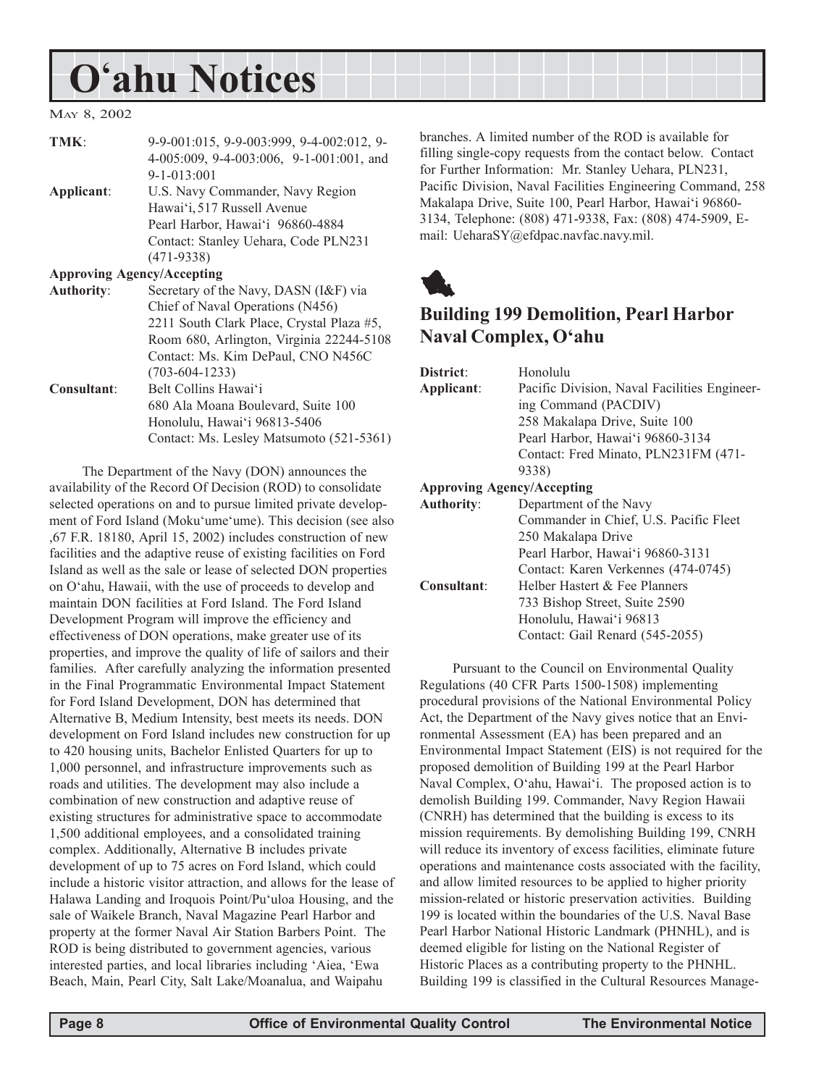#### MAY 8, 2002

| TMK:                              | 9-9-001:015, 9-9-003:999, 9-4-002:012, 9- |
|-----------------------------------|-------------------------------------------|
|                                   | 4-005:009, 9-4-003:006, 9-1-001:001, and  |
|                                   | $9 - 1 - 013:001$                         |
| Applicant:                        | U.S. Navy Commander, Navy Region          |
|                                   | Hawai'i, 517 Russell Avenue               |
|                                   | Pearl Harbor, Hawai'i 96860-4884          |
|                                   | Contact: Stanley Uehara, Code PLN231      |
|                                   | $(471-9338)$                              |
| <b>Approving Agency/Accepting</b> |                                           |
| <b>Authority:</b>                 | Secretary of the Navy, DASN (I&F) via     |
|                                   | Chief of Naval Operations (N456)          |
|                                   | 2211 South Clark Place, Crystal Plaza #5, |
|                                   | Room 680, Arlington, Virginia 22244-5108  |
|                                   | Contact: Ms. Kim DePaul, CNO N456C        |

(703-604-1233) **Consultant**: Belt Collins Hawaiëi 680 Ala Moana Boulevard, Suite 100 Honolulu, Hawai'i 96813-5406 Contact: Ms. Lesley Matsumoto (521-5361)

The Department of the Navy (DON) announces the availability of the Record Of Decision (ROD) to consolidate selected operations on and to pursue limited private development of Ford Island (Moku'ume'ume). This decision (see also ,67 F.R. 18180, April 15, 2002) includes construction of new facilities and the adaptive reuse of existing facilities on Ford Island as well as the sale or lease of selected DON properties on Oëahu, Hawaii, with the use of proceeds to develop and maintain DON facilities at Ford Island. The Ford Island Development Program will improve the efficiency and effectiveness of DON operations, make greater use of its properties, and improve the quality of life of sailors and their families. After carefully analyzing the information presented in the Final Programmatic Environmental Impact Statement for Ford Island Development, DON has determined that Alternative B, Medium Intensity, best meets its needs. DON development on Ford Island includes new construction for up to 420 housing units, Bachelor Enlisted Quarters for up to 1,000 personnel, and infrastructure improvements such as roads and utilities. The development may also include a combination of new construction and adaptive reuse of existing structures for administrative space to accommodate 1,500 additional employees, and a consolidated training complex. Additionally, Alternative B includes private development of up to 75 acres on Ford Island, which could include a historic visitor attraction, and allows for the lease of Halawa Landing and Iroquois Point/Pu'uloa Housing, and the sale of Waikele Branch, Naval Magazine Pearl Harbor and property at the former Naval Air Station Barbers Point. The ROD is being distributed to government agencies, various interested parties, and local libraries including 'Aiea, 'Ewa Beach, Main, Pearl City, Salt Lake/Moanalua, and Waipahu

branches. A limited number of the ROD is available for filling single-copy requests from the contact below. Contact for Further Information: Mr. Stanley Uehara, PLN231, Pacific Division, Naval Facilities Engineering Command, 258 Makalapa Drive, Suite 100, Pearl Harbor, Hawai'i 96860-3134, Telephone: (808) 471-9338, Fax: (808) 474-5909, Email: UeharaSY@efdpac.navfac.navy.mil.



# **Building 199 Demolition, Pearl Harbor Naval Complex, Oëahu**

| District:                         | Honolulu                                     |
|-----------------------------------|----------------------------------------------|
| Applicant:                        | Pacific Division, Naval Facilities Engineer- |
|                                   | ing Command (PACDIV)                         |
|                                   | 258 Makalapa Drive, Suite 100                |
|                                   | Pearl Harbor, Hawai'i 96860-3134             |
|                                   | Contact: Fred Minato, PLN231FM (471-         |
|                                   | 9338)                                        |
| <b>Approving Agency/Accepting</b> |                                              |
| <b>Authority:</b>                 | Department of the Navy                       |
|                                   | Commander in Chief, U.S. Pacific Fleet       |
|                                   | 250 Makalapa Drive                           |
|                                   | Pearl Harbor, Hawai'i 96860-3131             |
|                                   | Contact: Karen Verkennes (474-0745)          |
| Consultant:                       | Helber Hastert & Fee Planners                |
|                                   | 733 Bishop Street, Suite 2590                |
|                                   | Honolulu, Hawai'i 96813                      |

Contact: Gail Renard (545-2055)

Pursuant to the Council on Environmental Quality Regulations (40 CFR Parts 1500-1508) implementing procedural provisions of the National Environmental Policy Act, the Department of the Navy gives notice that an Environmental Assessment (EA) has been prepared and an Environmental Impact Statement (EIS) is not required for the proposed demolition of Building 199 at the Pearl Harbor Naval Complex, O'ahu, Hawai'i. The proposed action is to demolish Building 199. Commander, Navy Region Hawaii (CNRH) has determined that the building is excess to its mission requirements. By demolishing Building 199, CNRH will reduce its inventory of excess facilities, eliminate future operations and maintenance costs associated with the facility, and allow limited resources to be applied to higher priority mission-related or historic preservation activities. Building 199 is located within the boundaries of the U.S. Naval Base Pearl Harbor National Historic Landmark (PHNHL), and is deemed eligible for listing on the National Register of Historic Places as a contributing property to the PHNHL. Building 199 is classified in the Cultural Resources Manage-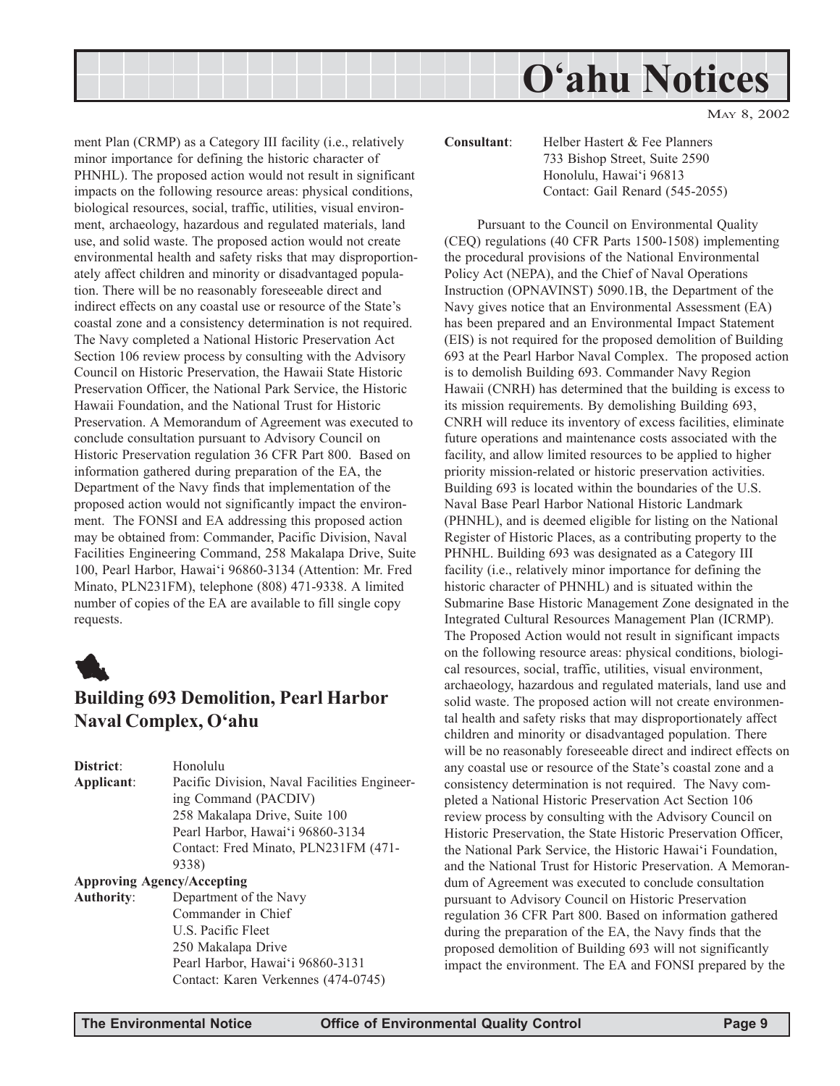

ment Plan (CRMP) as a Category III facility (i.e., relatively minor importance for defining the historic character of PHNHL). The proposed action would not result in significant impacts on the following resource areas: physical conditions, biological resources, social, traffic, utilities, visual environment, archaeology, hazardous and regulated materials, land use, and solid waste. The proposed action would not create environmental health and safety risks that may disproportionately affect children and minority or disadvantaged population. There will be no reasonably foreseeable direct and indirect effects on any coastal use or resource of the State's coastal zone and a consistency determination is not required. The Navy completed a National Historic Preservation Act Section 106 review process by consulting with the Advisory Council on Historic Preservation, the Hawaii State Historic Preservation Officer, the National Park Service, the Historic Hawaii Foundation, and the National Trust for Historic Preservation. A Memorandum of Agreement was executed to conclude consultation pursuant to Advisory Council on Historic Preservation regulation 36 CFR Part 800. Based on information gathered during preparation of the EA, the Department of the Navy finds that implementation of the proposed action would not significantly impact the environment. The FONSI and EA addressing this proposed action may be obtained from: Commander, Pacific Division, Naval Facilities Engineering Command, 258 Makalapa Drive, Suite 100, Pearl Harbor, Hawaiëi 96860-3134 (Attention: Mr. Fred Minato, PLN231FM), telephone (808) 471-9338. A limited number of copies of the EA are available to fill single copy requests.



## **Building 693 Demolition, Pearl Harbor Naval Complex, Oëahu**

| District:         | Honolulu                                     |
|-------------------|----------------------------------------------|
| Applicant:        | Pacific Division, Naval Facilities Engineer- |
|                   | ing Command (PACDIV)                         |
|                   | 258 Makalapa Drive, Suite 100                |
|                   | Pearl Harbor, Hawai'i 96860-3134             |
|                   | Contact: Fred Minato, PLN231FM (471-         |
|                   | 9338)                                        |
|                   | <b>Approving Agency/Accepting</b>            |
| <b>Authority:</b> | Department of the Navy                       |
|                   | Commander in Chief                           |
|                   | U.S. Pacific Fleet                           |
|                   | 250 Makalapa Drive                           |
|                   | Pearl Harbor, Hawai'i 96860-3131             |
|                   | Contact: Karen Verkennes (474-0745)          |

**Consultant**: Helber Hastert & Fee Planners 733 Bishop Street, Suite 2590 Honolulu, Hawai'i 96813 Contact: Gail Renard (545-2055)

Pursuant to the Council on Environmental Quality (CEQ) regulations (40 CFR Parts 1500-1508) implementing the procedural provisions of the National Environmental Policy Act (NEPA), and the Chief of Naval Operations Instruction (OPNAVINST) 5090.1B, the Department of the Navy gives notice that an Environmental Assessment (EA) has been prepared and an Environmental Impact Statement (EIS) is not required for the proposed demolition of Building 693 at the Pearl Harbor Naval Complex. The proposed action is to demolish Building 693. Commander Navy Region Hawaii (CNRH) has determined that the building is excess to its mission requirements. By demolishing Building 693, CNRH will reduce its inventory of excess facilities, eliminate future operations and maintenance costs associated with the facility, and allow limited resources to be applied to higher priority mission-related or historic preservation activities. Building 693 is located within the boundaries of the U.S. Naval Base Pearl Harbor National Historic Landmark (PHNHL), and is deemed eligible for listing on the National Register of Historic Places, as a contributing property to the PHNHL. Building 693 was designated as a Category III facility (i.e., relatively minor importance for defining the historic character of PHNHL) and is situated within the Submarine Base Historic Management Zone designated in the Integrated Cultural Resources Management Plan (ICRMP). The Proposed Action would not result in significant impacts on the following resource areas: physical conditions, biological resources, social, traffic, utilities, visual environment, archaeology, hazardous and regulated materials, land use and solid waste. The proposed action will not create environmental health and safety risks that may disproportionately affect children and minority or disadvantaged population. There will be no reasonably foreseeable direct and indirect effects on any coastal use or resource of the State's coastal zone and a consistency determination is not required. The Navy completed a National Historic Preservation Act Section 106 review process by consulting with the Advisory Council on Historic Preservation, the State Historic Preservation Officer, the National Park Service, the Historic Hawai'i Foundation, and the National Trust for Historic Preservation. A Memorandum of Agreement was executed to conclude consultation pursuant to Advisory Council on Historic Preservation regulation 36 CFR Part 800. Based on information gathered during the preparation of the EA, the Navy finds that the proposed demolition of Building 693 will not significantly impact the environment. The EA and FONSI prepared by the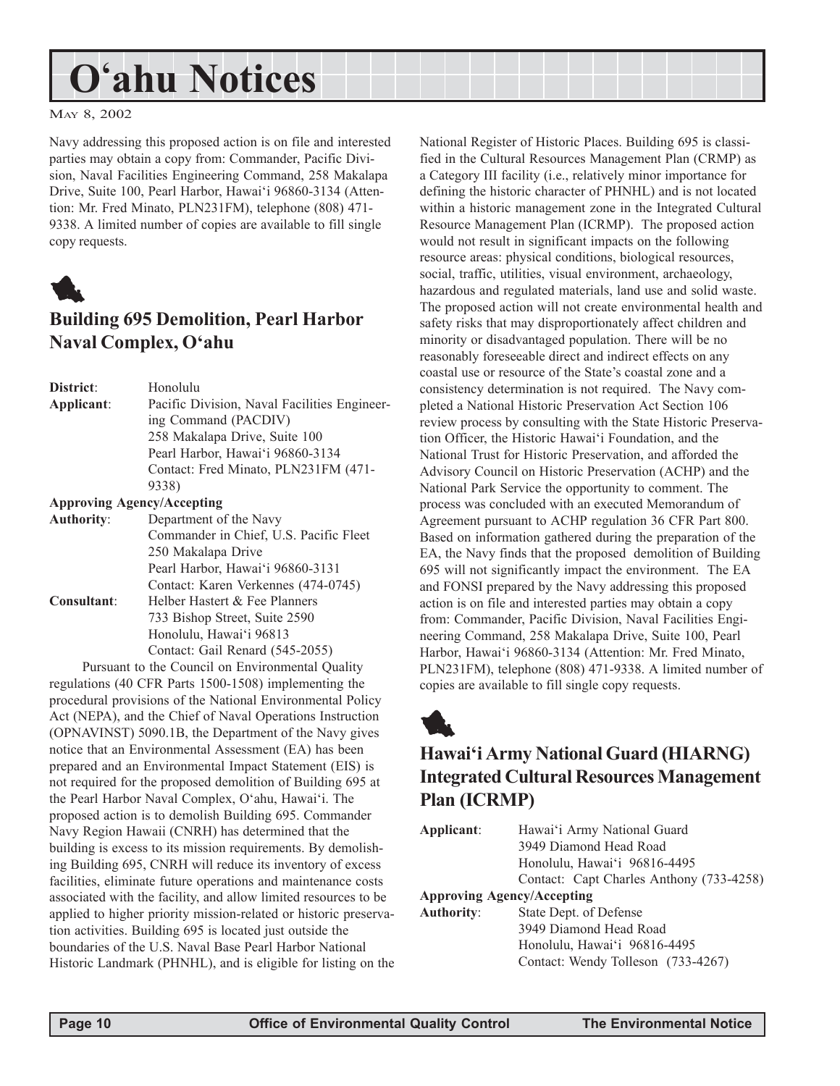#### MAY 8, 2002

Navy addressing this proposed action is on file and interested parties may obtain a copy from: Commander, Pacific Division, Naval Facilities Engineering Command, 258 Makalapa Drive, Suite 100, Pearl Harbor, Hawai'i 96860-3134 (Attention: Mr. Fred Minato, PLN231FM), telephone (808) 471- 9338. A limited number of copies are available to fill single copy requests.



# **Building 695 Demolition, Pearl Harbor Naval Complex, Oëahu**

| District:  | Honolulu                                     |
|------------|----------------------------------------------|
| Applicant: | Pacific Division, Naval Facilities Engineer- |
|            | ing Command (PACDIV)                         |
|            | 258 Makalapa Drive, Suite 100                |
|            | Pearl Harbor, Hawai'i 96860-3134             |
|            | Contact: Fred Minato, PLN231FM (471-         |
|            | 9338)                                        |
|            | <b>Approving Agency/Accepting</b>            |
| Authority: | Department of the Navy                       |
|            | $Cequation and in CbinC$                     |

|             | Commander in Chief, U.S. Pacific Fleet |
|-------------|----------------------------------------|
|             | 250 Makalapa Drive                     |
|             | Pearl Harbor, Hawai'i 96860-3131       |
|             | Contact: Karen Verkennes (474-0745)    |
| Consultant: | Helber Hastert & Fee Planners          |
|             | 733 Bishop Street, Suite 2590          |
|             | Honolulu, Hawai'i 96813                |
|             | Contact: Gail Renard (545-2055)        |

Pursuant to the Council on Environmental Quality regulations (40 CFR Parts 1500-1508) implementing the procedural provisions of the National Environmental Policy Act (NEPA), and the Chief of Naval Operations Instruction (OPNAVINST) 5090.1B, the Department of the Navy gives notice that an Environmental Assessment (EA) has been prepared and an Environmental Impact Statement (EIS) is not required for the proposed demolition of Building 695 at the Pearl Harbor Naval Complex, O'ahu, Hawai'i. The proposed action is to demolish Building 695. Commander Navy Region Hawaii (CNRH) has determined that the building is excess to its mission requirements. By demolishing Building 695, CNRH will reduce its inventory of excess facilities, eliminate future operations and maintenance costs associated with the facility, and allow limited resources to be applied to higher priority mission-related or historic preservation activities. Building 695 is located just outside the boundaries of the U.S. Naval Base Pearl Harbor National Historic Landmark (PHNHL), and is eligible for listing on the National Register of Historic Places. Building 695 is classified in the Cultural Resources Management Plan (CRMP) as a Category III facility (i.e., relatively minor importance for defining the historic character of PHNHL) and is not located within a historic management zone in the Integrated Cultural Resource Management Plan (ICRMP). The proposed action would not result in significant impacts on the following resource areas: physical conditions, biological resources, social, traffic, utilities, visual environment, archaeology, hazardous and regulated materials, land use and solid waste. The proposed action will not create environmental health and safety risks that may disproportionately affect children and minority or disadvantaged population. There will be no reasonably foreseeable direct and indirect effects on any coastal use or resource of the State's coastal zone and a consistency determination is not required. The Navy completed a National Historic Preservation Act Section 106 review process by consulting with the State Historic Preservation Officer, the Historic Hawaiëi Foundation, and the National Trust for Historic Preservation, and afforded the Advisory Council on Historic Preservation (ACHP) and the National Park Service the opportunity to comment. The process was concluded with an executed Memorandum of Agreement pursuant to ACHP regulation 36 CFR Part 800. Based on information gathered during the preparation of the EA, the Navy finds that the proposed demolition of Building 695 will not significantly impact the environment. The EA and FONSI prepared by the Navy addressing this proposed action is on file and interested parties may obtain a copy from: Commander, Pacific Division, Naval Facilities Engineering Command, 258 Makalapa Drive, Suite 100, Pearl Harbor, Hawaiëi 96860-3134 (Attention: Mr. Fred Minato, PLN231FM), telephone (808) 471-9338. A limited number of copies are available to fill single copy requests.

# 1

# **Hawaiëi Army National Guard (HIARNG) Integrated Cultural Resources Management Plan (ICRMP)**

| Applicant:                        | Hawai'i Army National Guard              |
|-----------------------------------|------------------------------------------|
|                                   | 3949 Diamond Head Road                   |
|                                   | Honolulu, Hawai'i 96816-4495             |
|                                   | Contact: Capt Charles Anthony (733-4258) |
| <b>Approving Agency/Accepting</b> |                                          |
| Authority:                        | State Dept. of Defense                   |
|                                   | 3949 Diamond Head Road                   |
|                                   | Honolulu, Hawai'i 96816-4495             |
|                                   | Contact: Wendy Tolleson (733-4267)       |
|                                   |                                          |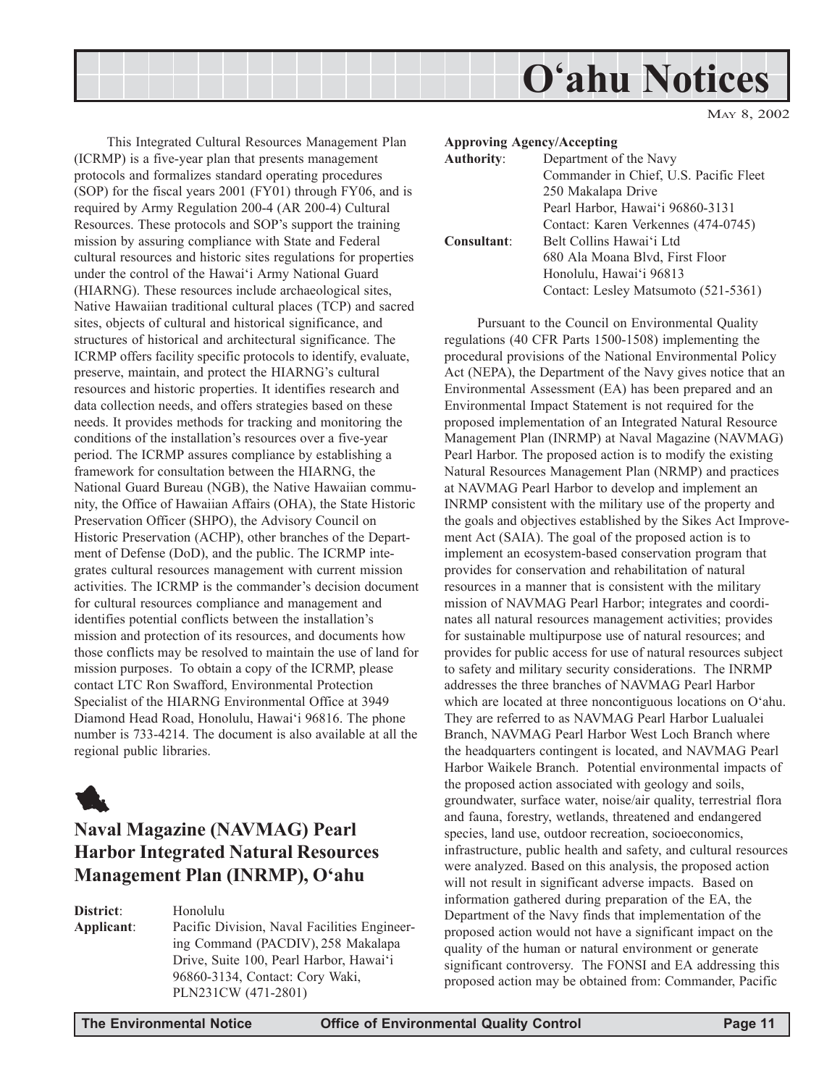

This Integrated Cultural Resources Management Plan (ICRMP) is a five-year plan that presents management protocols and formalizes standard operating procedures (SOP) for the fiscal years 2001 (FY01) through FY06, and is required by Army Regulation 200-4 (AR 200-4) Cultural Resources. These protocols and SOP's support the training mission by assuring compliance with State and Federal cultural resources and historic sites regulations for properties under the control of the Hawaiëi Army National Guard (HIARNG). These resources include archaeological sites, Native Hawaiian traditional cultural places (TCP) and sacred sites, objects of cultural and historical significance, and structures of historical and architectural significance. The ICRMP offers facility specific protocols to identify, evaluate, preserve, maintain, and protect the HIARNG's cultural resources and historic properties. It identifies research and data collection needs, and offers strategies based on these needs. It provides methods for tracking and monitoring the conditions of the installation's resources over a five-year period. The ICRMP assures compliance by establishing a framework for consultation between the HIARNG, the National Guard Bureau (NGB), the Native Hawaiian community, the Office of Hawaiian Affairs (OHA), the State Historic Preservation Officer (SHPO), the Advisory Council on Historic Preservation (ACHP), other branches of the Department of Defense (DoD), and the public. The ICRMP integrates cultural resources management with current mission activities. The ICRMP is the commander's decision document for cultural resources compliance and management and identifies potential conflicts between the installation's mission and protection of its resources, and documents how those conflicts may be resolved to maintain the use of land for mission purposes. To obtain a copy of the ICRMP, please contact LTC Ron Swafford, Environmental Protection Specialist of the HIARNG Environmental Office at 3949 Diamond Head Road, Honolulu, Hawai'i 96816. The phone number is 733-4214. The document is also available at all the regional public libraries.



# **Naval Magazine (NAVMAG) Pearl Harbor Integrated Natural Resources Management Plan (INRMP), Oëahu**

**District**: Honolulu **Applicant**: Pacific Division, Naval Facilities Engineering Command (PACDIV), 258 Makalapa Drive, Suite 100, Pearl Harbor, Hawai'i 96860-3134, Contact: Cory Waki, PLN231CW (471-2801)

| <b>Approving Agency/Accepting</b> |                                        |
|-----------------------------------|----------------------------------------|
| <b>Authority:</b>                 | Department of the Navy                 |
|                                   | Commander in Chief, U.S. Pacific Fleet |
|                                   | 250 Makalapa Drive                     |
|                                   | Pearl Harbor, Hawai'i 96860-3131       |
|                                   | Contact: Karen Verkennes (474-0745)    |
| <b>Consultant:</b>                | Belt Collins Hawai'i Ltd               |
|                                   | 680 Ala Moana Blvd, First Floor        |
|                                   | Honolulu, Hawai'i 96813                |
|                                   | Contact: Lesley Matsumoto (521-5361)   |

Pursuant to the Council on Environmental Quality regulations (40 CFR Parts 1500-1508) implementing the procedural provisions of the National Environmental Policy Act (NEPA), the Department of the Navy gives notice that an Environmental Assessment (EA) has been prepared and an Environmental Impact Statement is not required for the proposed implementation of an Integrated Natural Resource Management Plan (INRMP) at Naval Magazine (NAVMAG) Pearl Harbor. The proposed action is to modify the existing Natural Resources Management Plan (NRMP) and practices at NAVMAG Pearl Harbor to develop and implement an INRMP consistent with the military use of the property and the goals and objectives established by the Sikes Act Improvement Act (SAIA). The goal of the proposed action is to implement an ecosystem-based conservation program that provides for conservation and rehabilitation of natural resources in a manner that is consistent with the military mission of NAVMAG Pearl Harbor; integrates and coordinates all natural resources management activities; provides for sustainable multipurpose use of natural resources; and provides for public access for use of natural resources subject to safety and military security considerations. The INRMP addresses the three branches of NAVMAG Pearl Harbor which are located at three noncontiguous locations on O'ahu. They are referred to as NAVMAG Pearl Harbor Lualualei Branch, NAVMAG Pearl Harbor West Loch Branch where the headquarters contingent is located, and NAVMAG Pearl Harbor Waikele Branch. Potential environmental impacts of the proposed action associated with geology and soils, groundwater, surface water, noise/air quality, terrestrial flora and fauna, forestry, wetlands, threatened and endangered species, land use, outdoor recreation, socioeconomics, infrastructure, public health and safety, and cultural resources were analyzed. Based on this analysis, the proposed action will not result in significant adverse impacts. Based on information gathered during preparation of the EA, the Department of the Navy finds that implementation of the proposed action would not have a significant impact on the quality of the human or natural environment or generate significant controversy. The FONSI and EA addressing this proposed action may be obtained from: Commander, Pacific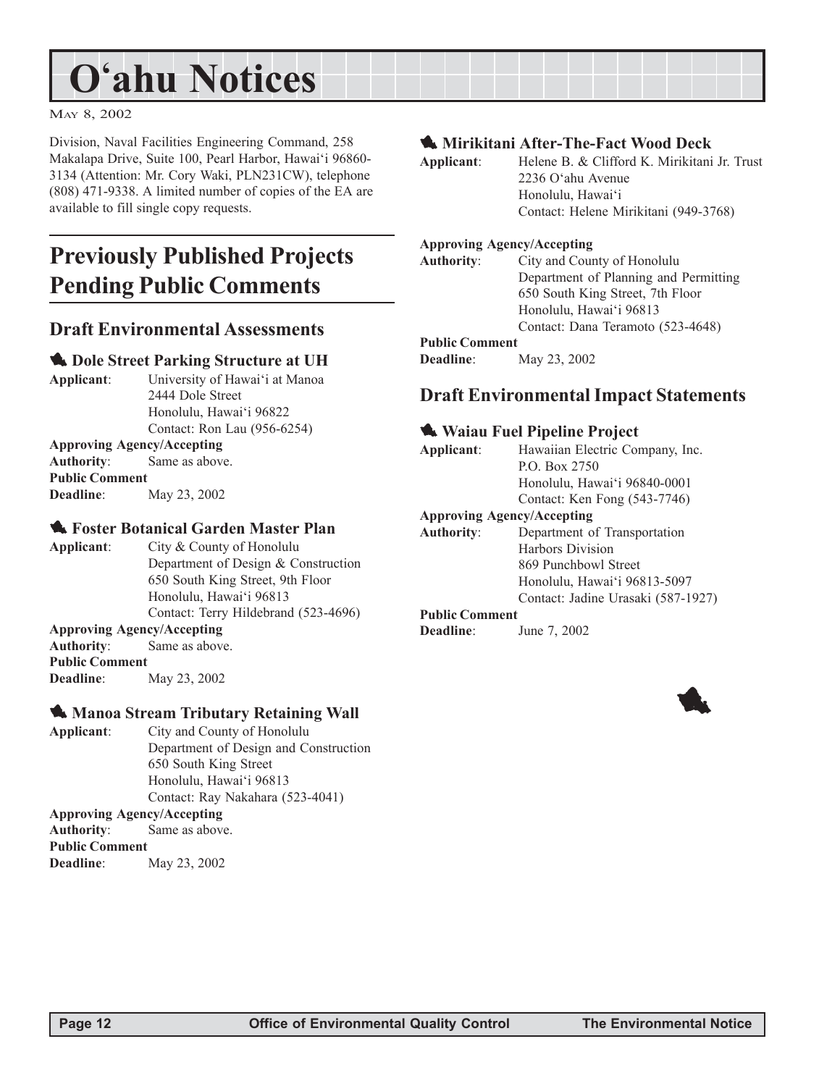MAY 8, 2002

Division, Naval Facilities Engineering Command, 258 Makalapa Drive, Suite 100, Pearl Harbor, Hawai'i 96860-3134 (Attention: Mr. Cory Waki, PLN231CW), telephone (808) 471-9338. A limited number of copies of the EA are available to fill single copy requests.

# **Previously Published Projects Pending Public Comments**

## **Draft Environmental Assessments**

#### **1.** Dole Street Parking Structure at UH

**Applicant:** University of Hawai'i at Manoa 2444 Dole Street Honolulu, Hawai'i 96822 Contact: Ron Lau (956-6254)

#### **Approving Agency/Accepting**

| Authority:            | Same as above. |
|-----------------------|----------------|
| <b>Public Comment</b> |                |
| <b>Deadline:</b>      | May 23, 2002   |

#### **1. Foster Botanical Garden Master Plan**

**Applicant**: City & County of Honolulu Department of Design & Construction 650 South King Street, 9th Floor Honolulu, Hawai'i 96813 Contact: Terry Hildebrand (523-4696)

#### **Approving Agency/Accepting**

**Authority**: Same as above. **Public Comment Deadline**: May 23, 2002

#### **1. Manoa Stream Tributary Retaining Wall**

**Applicant**: City and County of Honolulu Department of Design and Construction 650 South King Street Honolulu, Hawai'i 96813 Contact: Ray Nakahara (523-4041)

**Approving Agency/Accepting Authority**: Same as above.

**Public Comment Deadline**: May 23, 2002 1 **Mirikitani After-The-Fact Wood Deck**

| Applicant:        | Helene B. & Clifford K. Mirikitani Jr. Trust |
|-------------------|----------------------------------------------|
|                   | 2236 O'ahu Avenue                            |
|                   | Honolulu, Hawai'i                            |
|                   | Contact: Helene Mirikitani (949-3768)        |
|                   |                                              |
|                   | <b>Approving Agency/Accepting</b>            |
| <b>Authority:</b> | City and County of Honolulu                  |
|                   | Department of Planning and Permitting        |

650 South King Street, 7th Floor Honolulu, Hawai'i 96813 Contact: Dana Teramoto (523-4648)

**Public Comment**

**Deadline**: May 23, 2002

## **Draft Environmental Impact Statements**

#### $\triangle$  Waiau Fuel Pipeline Project

**Applicant**: Hawaiian Electric Company, Inc. P.O. Box 2750 Honolulu, Hawai'i 96840-0001

Contact: Ken Fong (543-7746)

#### **Approving Agency/Accepting**

**Authority**: Department of Transportation Harbors Division 869 Punchbowl Street Honolulu, Hawai'i 96813-5097 Contact: Jadine Urasaki (587-1927)

## **Public Comment**

**Deadline**: June 7, 2002

1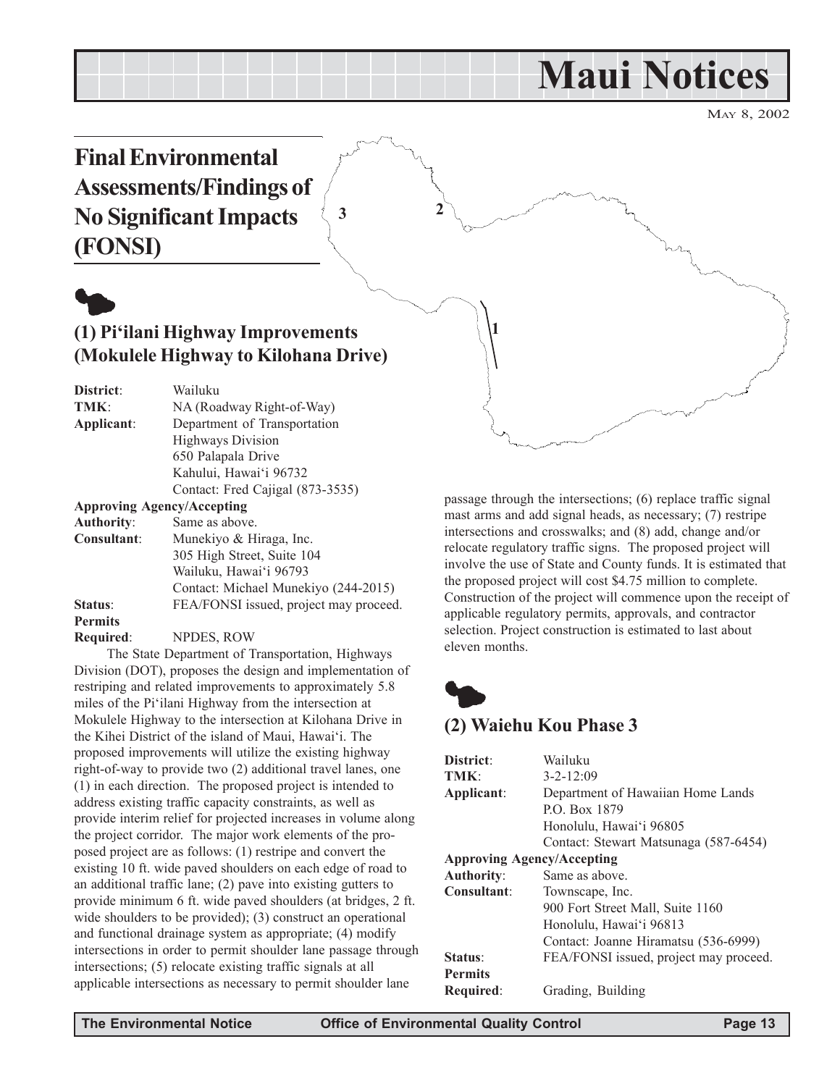# **Maui Notices**

MAY 8, 2002

**Final Environmental Assessments/Findings of No Significant Impacts (FONSI)**



# **(1) Piëilani Highway Improvements (Mokulele Highway to Kilohana Drive)**

**District**: Wailuku TMK: NA (Roadway Right-of-Way) **Applicant**: Department of Transportation Highways Division 650 Palapala Drive Kahului, Hawai'i 96732 Contact: Fred Cajigal (873-3535)

**Approving Agency/Accepting**

| <b>Authority:</b> | Same as above.                         |
|-------------------|----------------------------------------|
| Consultant:       | Munekiyo & Hiraga, Inc.                |
|                   | 305 High Street, Suite 104             |
|                   | Wailuku, Hawai'i 96793                 |
|                   | Contact: Michael Munekiyo (244-2015)   |
| Status:           | FEA/FONSI issued, project may proceed. |
| <b>Permits</b>    |                                        |
| Required:         | NPDES, ROW                             |

The State Department of Transportation, Highways Division (DOT), proposes the design and implementation of restriping and related improvements to approximately 5.8 miles of the Piëilani Highway from the intersection at Mokulele Highway to the intersection at Kilohana Drive in the Kihei District of the island of Maui, Hawai'i. The proposed improvements will utilize the existing highway right-of-way to provide two (2) additional travel lanes, one (1) in each direction. The proposed project is intended to address existing traffic capacity constraints, as well as provide interim relief for projected increases in volume along the project corridor. The major work elements of the proposed project are as follows: (1) restripe and convert the existing 10 ft. wide paved shoulders on each edge of road to an additional traffic lane; (2) pave into existing gutters to provide minimum 6 ft. wide paved shoulders (at bridges, 2 ft. wide shoulders to be provided); (3) construct an operational and functional drainage system as appropriate; (4) modify intersections in order to permit shoulder lane passage through intersections; (5) relocate existing traffic signals at all applicable intersections as necessary to permit shoulder lane

passage through the intersections; (6) replace traffic signal mast arms and add signal heads, as necessary; (7) restripe intersections and crosswalks; and (8) add, change and/or relocate regulatory traffic signs. The proposed project will involve the use of State and County funds. It is estimated that the proposed project will cost \$4.75 million to complete. Construction of the project will commence upon the receipt of applicable regulatory permits, approvals, and contractor selection. Project construction is estimated to last about eleven months.



**1**

**3 2**

# **(2) Waiehu Kou Phase 3**

| District <sup>.</sup>             | Wailuku                                |
|-----------------------------------|----------------------------------------|
| TMK:                              | $3 - 2 - 12:09$                        |
| Applicant:                        | Department of Hawaiian Home Lands      |
|                                   | P.O. Box 1879                          |
|                                   | Honolulu, Hawai'i 96805                |
|                                   | Contact: Stewart Matsunaga (587-6454)  |
| <b>Approving Agency/Accepting</b> |                                        |
| <b>Authority:</b>                 | Same as above.                         |
| Consultant:                       | Townscape, Inc.                        |
|                                   | 900 Fort Street Mall, Suite 1160       |
|                                   | Honolulu, Hawai'i 96813                |
|                                   | Contact: Joanne Hiramatsu (536-6999)   |
| Status:                           | FEA/FONSI issued, project may proceed. |
| <b>Permits</b>                    |                                        |
| Required:                         | Grading, Building                      |
|                                   |                                        |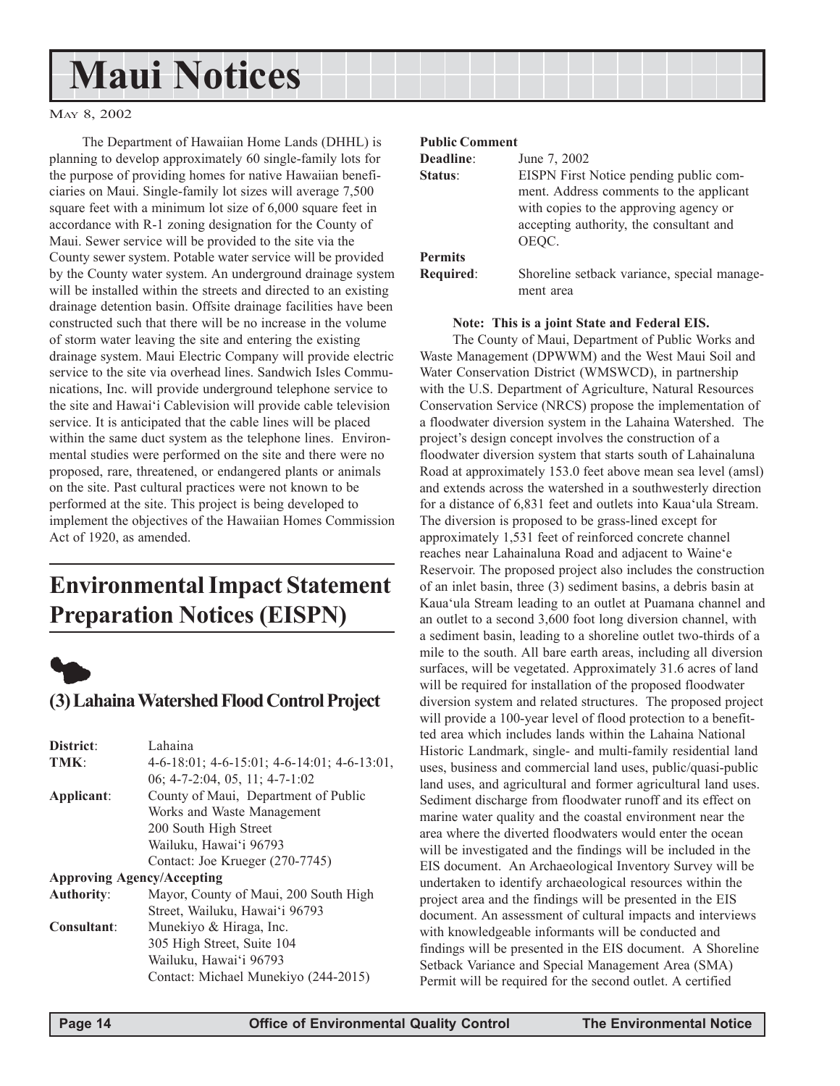# **Maui Notices**

#### MAY 8, 2002

The Department of Hawaiian Home Lands (DHHL) is planning to develop approximately 60 single-family lots for the purpose of providing homes for native Hawaiian beneficiaries on Maui. Single-family lot sizes will average 7,500 square feet with a minimum lot size of 6,000 square feet in accordance with R-1 zoning designation for the County of Maui. Sewer service will be provided to the site via the County sewer system. Potable water service will be provided by the County water system. An underground drainage system will be installed within the streets and directed to an existing drainage detention basin. Offsite drainage facilities have been constructed such that there will be no increase in the volume of storm water leaving the site and entering the existing drainage system. Maui Electric Company will provide electric service to the site via overhead lines. Sandwich Isles Communications, Inc. will provide underground telephone service to the site and Hawaiëi Cablevision will provide cable television service. It is anticipated that the cable lines will be placed within the same duct system as the telephone lines. Environmental studies were performed on the site and there were no proposed, rare, threatened, or endangered plants or animals on the site. Past cultural practices were not known to be performed at the site. This project is being developed to implement the objectives of the Hawaiian Homes Commission Act of 1920, as amended.

# **Environmental Impact Statement Preparation Notices (EISPN)**



## **(3) Lahaina Watershed Flood Control Project**

| District:                         | Lahaina                                                 |
|-----------------------------------|---------------------------------------------------------|
| TMK:                              | $4-6-18:01$ ; $4-6-15:01$ ; $4-6-14:01$ ; $4-6-13:01$ , |
|                                   | 06; $4-7-2:04$ , 05, 11; $4-7-1:02$                     |
| Applicant:                        | County of Maui, Department of Public                    |
|                                   | Works and Waste Management                              |
|                                   | 200 South High Street                                   |
|                                   | Wailuku, Hawai'i 96793                                  |
|                                   | Contact: Joe Krueger (270-7745)                         |
| <b>Approving Agency/Accepting</b> |                                                         |
| <b>Authority:</b>                 | Mayor, County of Maui, 200 South High                   |
|                                   | Street, Wailuku, Hawai'i 96793                          |
| Consultant:                       | Munekiyo & Hiraga, Inc.                                 |
|                                   | 305 High Street, Suite 104                              |
|                                   | Wailuku, Hawai'i 96793                                  |
|                                   | Contact: Michael Munekiyo (244-2015)                    |
|                                   |                                                         |

#### **Public Comment**

| Deadline:      | June 7, 2002                                                                                                                                                                    |
|----------------|---------------------------------------------------------------------------------------------------------------------------------------------------------------------------------|
| Status:        | EISPN First Notice pending public com-<br>ment. Address comments to the applicant<br>with copies to the approving agency or<br>accepting authority, the consultant and<br>OEOC. |
| <b>Permits</b> |                                                                                                                                                                                 |
| Required:      | Shoreline setback variance, special manage-<br>ment area                                                                                                                        |

**Note: This is a joint State and Federal EIS.**

The County of Maui, Department of Public Works and Waste Management (DPWWM) and the West Maui Soil and Water Conservation District (WMSWCD), in partnership with the U.S. Department of Agriculture, Natural Resources Conservation Service (NRCS) propose the implementation of a floodwater diversion system in the Lahaina Watershed. The project's design concept involves the construction of a floodwater diversion system that starts south of Lahainaluna Road at approximately 153.0 feet above mean sea level (amsl) and extends across the watershed in a southwesterly direction for a distance of 6,831 feet and outlets into Kaua'ula Stream. The diversion is proposed to be grass-lined except for approximately 1,531 feet of reinforced concrete channel reaches near Lahainaluna Road and adjacent to Waine'e Reservoir. The proposed project also includes the construction of an inlet basin, three (3) sediment basins, a debris basin at Kaua'ula Stream leading to an outlet at Puamana channel and an outlet to a second 3,600 foot long diversion channel, with a sediment basin, leading to a shoreline outlet two-thirds of a mile to the south. All bare earth areas, including all diversion surfaces, will be vegetated. Approximately 31.6 acres of land will be required for installation of the proposed floodwater diversion system and related structures. The proposed project will provide a 100-year level of flood protection to a benefitted area which includes lands within the Lahaina National Historic Landmark, single- and multi-family residential land uses, business and commercial land uses, public/quasi-public land uses, and agricultural and former agricultural land uses. Sediment discharge from floodwater runoff and its effect on marine water quality and the coastal environment near the area where the diverted floodwaters would enter the ocean will be investigated and the findings will be included in the EIS document. An Archaeological Inventory Survey will be undertaken to identify archaeological resources within the project area and the findings will be presented in the EIS document. An assessment of cultural impacts and interviews with knowledgeable informants will be conducted and findings will be presented in the EIS document. A Shoreline Setback Variance and Special Management Area (SMA) Permit will be required for the second outlet. A certified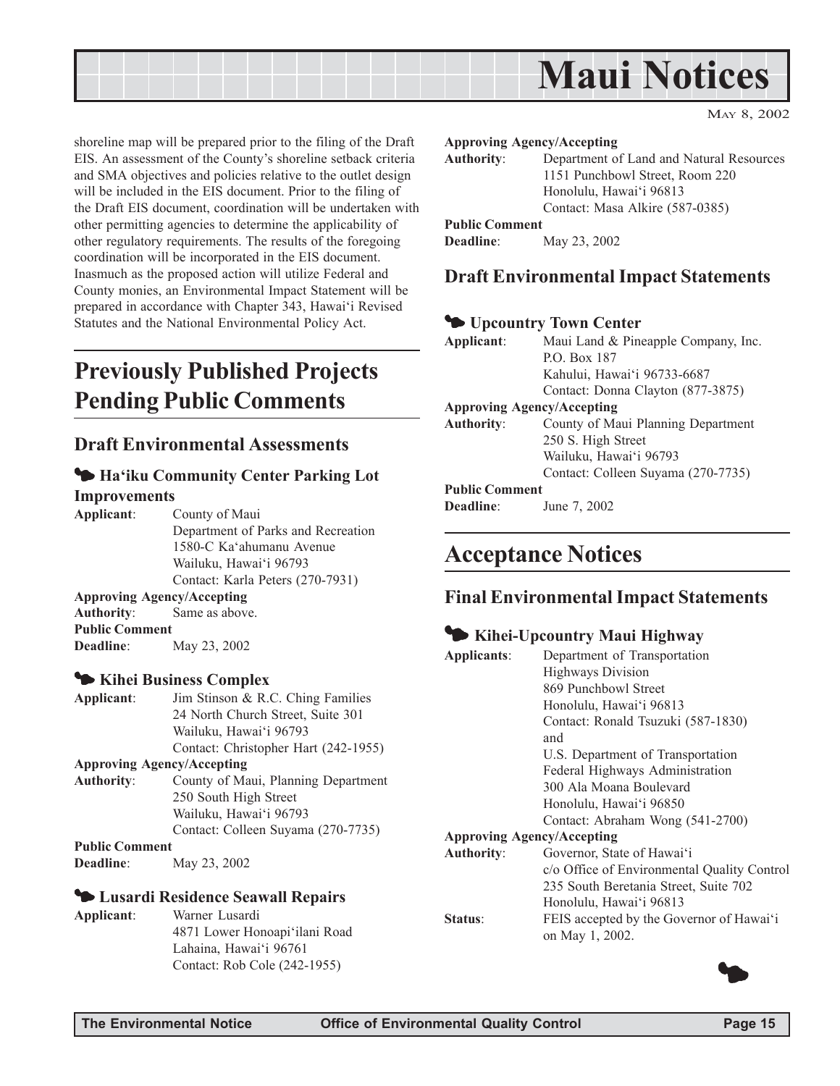

shoreline map will be prepared prior to the filing of the Draft EIS. An assessment of the County's shoreline setback criteria and SMA objectives and policies relative to the outlet design will be included in the EIS document. Prior to the filing of the Draft EIS document, coordination will be undertaken with other permitting agencies to determine the applicability of other regulatory requirements. The results of the foregoing coordination will be incorporated in the EIS document. Inasmuch as the proposed action will utilize Federal and County monies, an Environmental Impact Statement will be prepared in accordance with Chapter 343, Hawai'i Revised Statutes and the National Environmental Policy Act.

# **Previously Published Projects Pending Public Comments**

## **Draft Environmental Assessments**

#### 3 **Haëiku Community Center Parking Lot Improvements**

**Applicant**: County of Maui Department of Parks and Recreation 1580-C Kaëahumanu Avenue Wailuku, Hawai'i 96793 Contact: Karla Peters (270-7931) **Approving Agency/Accepting Authority**: Same as above. **Public Comment**

**Deadline**: May 23, 2002

#### 3 **Kihei Business Complex**

**Applicant**: Jim Stinson & R.C. Ching Families 24 North Church Street, Suite 301 Wailuku, Hawai'i 96793 Contact: Christopher Hart (242-1955) **Approving Agency/Accepting Authority**: County of Maui, Planning Department 250 South High Street Wailuku, Hawai'i 96793 Contact: Colleen Suyama (270-7735) **Public Comment Deadline**: May 23, 2002

#### 3 **Lusardi Residence Seawall Repairs**

**Applicant**: Warner Lusardi 4871 Lower Honoapiëilani Road Lahaina, Hawai'i 96761 Contact: Rob Cole (242-1955)

#### **Approving Agency/Accepting**

**Authority**: Department of Land and Natural Resources 1151 Punchbowl Street, Room 220 Honolulu, Hawai'i 96813 Contact: Masa Alkire (587-0385) **Public Comment**

**Deadline**: May 23, 2002

## **Draft Environmental Impact Statements**

#### 3 **Upcountry Town Center**

| Applicant:                        | Maui Land & Pineapple Company, Inc. |  |
|-----------------------------------|-------------------------------------|--|
|                                   | P.O. Box 187                        |  |
|                                   | Kahului, Hawai'i 96733-6687         |  |
|                                   | Contact: Donna Clayton (877-3875)   |  |
| <b>Approving Agency/Accepting</b> |                                     |  |
| <b>Authority:</b>                 | County of Maui Planning Department  |  |
|                                   | 250 S. High Street                  |  |
|                                   | Wailuku, Hawai'i 96793              |  |
|                                   | Contact: Colleen Suyama (270-7735)  |  |
| <b>Public Comment</b>             |                                     |  |
| <b>Deadline:</b>                  | June 7, 2002                        |  |

# **Acceptance Notices**

## **Final Environmental Impact Statements**

#### 3 **Kihei-Upcountry Maui Highway**

| Applicants:       | Department of Transportation                |
|-------------------|---------------------------------------------|
|                   | <b>Highways Division</b>                    |
|                   | 869 Punchbowl Street                        |
|                   | Honolulu, Hawai'i 96813                     |
|                   | Contact: Ronald Tsuzuki (587-1830)          |
|                   | and                                         |
|                   | U.S. Department of Transportation           |
|                   | Federal Highways Administration             |
|                   | 300 Ala Moana Boulevard                     |
|                   | Honolulu, Hawai'i 96850                     |
|                   | Contact: Abraham Wong (541-2700)            |
|                   | <b>Approving Agency/Accepting</b>           |
| <b>Authority:</b> | Governor, State of Hawai'i                  |
|                   | c/o Office of Environmental Quality Control |
|                   | 235 South Beretania Street, Suite 702       |
|                   | Honolulu, Hawai'i 96813                     |
| Status:           | FEIS accepted by the Governor of Hawai'i    |
|                   | on May 1, 2002.                             |

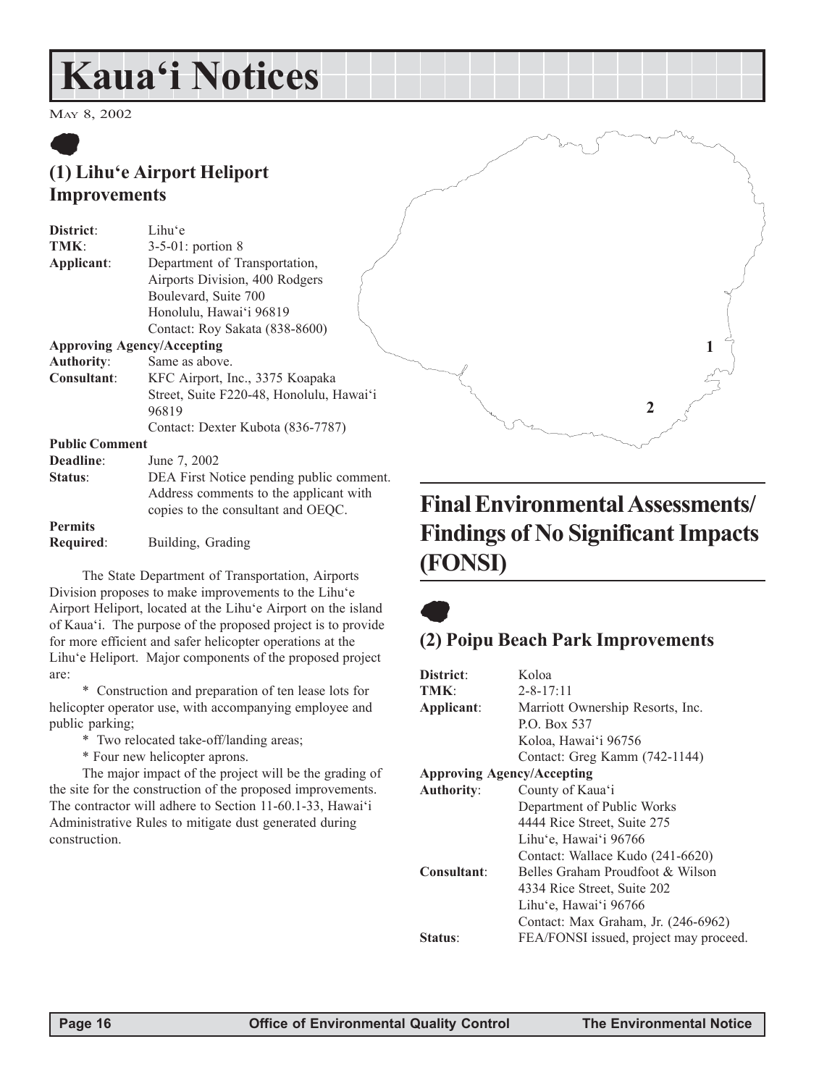# **Kauaëi Notices**

MAY 8, 2002

# $\bullet$ **(1) Lihuëe Airport Heliport Improvements**

| District:         | Lihu'e                                                       |  |
|-------------------|--------------------------------------------------------------|--|
| TMK:              | $3-5-01$ : portion 8                                         |  |
| Applicant:        | Department of Transportation,                                |  |
|                   | Airports Division, 400 Rodgers                               |  |
|                   | Boulevard, Suite 700                                         |  |
|                   | Honolulu, Hawai'i 96819                                      |  |
|                   | Contact: Roy Sakata (838-8600)                               |  |
|                   | <b>Approving Agency/Accepting</b>                            |  |
| <b>Authority:</b> | Same as above.                                               |  |
| $C$ ongultant:    | $VEC$ $\lambda$ import $\text{Im}\alpha$ 2275 $V$ consistent |  |

**Consultant**: KFC Airport, Inc., 3375 Koapaka Street, Suite F220-48, Honolulu, Hawai'i 96819 Contact: Dexter Kubota (836-7787)

**Public Comment**

| Deadline:        | June 7, 2002                                                                 |
|------------------|------------------------------------------------------------------------------|
| Status:          | DEA First Notice pending public comment.                                     |
|                  | Address comments to the applicant with<br>copies to the consultant and OEQC. |
| <b>Permits</b>   |                                                                              |
| <b>Required:</b> | Building, Grading                                                            |

The State Department of Transportation, Airports Division proposes to make improvements to the Lihu'e Airport Heliport, located at the Lihuëe Airport on the island of Kauaëi. The purpose of the proposed project is to provide for more efficient and safer helicopter operations at the Lihuëe Heliport. Major components of the proposed project are:

\* Construction and preparation of ten lease lots for helicopter operator use, with accompanying employee and public parking;

- \* Two relocated take-off/landing areas;
- \* Four new helicopter aprons.

The major impact of the project will be the grading of the site for the construction of the proposed improvements. The contractor will adhere to Section 11-60.1-33, Hawai'i Administrative Rules to mitigate dust generated during construction.

# **Final Environmental Assessments/ Findings of No Significant Impacts (FONSI)**

**1**

**2**

 $\bullet$ 

# **(2) Poipu Beach Park Improvements**

| District:         | Koloa                                  |  |
|-------------------|----------------------------------------|--|
| TMK:              | $2 - 8 - 17:11$                        |  |
| Applicant:        | Marriott Ownership Resorts, Inc.       |  |
|                   | P.O. Box 537                           |  |
|                   | Koloa, Hawai'i 96756                   |  |
|                   | Contact: Greg Kamm (742-1144)          |  |
|                   | <b>Approving Agency/Accepting</b>      |  |
| <b>Authority:</b> | County of Kaua'i                       |  |
|                   | Department of Public Works             |  |
|                   | 4444 Rice Street, Suite 275            |  |
|                   | Lihu'e, Hawai'i 96766                  |  |
|                   | Contact: Wallace Kudo (241-6620)       |  |
| Consultant:       | Belles Graham Proudfoot & Wilson       |  |
|                   | 4334 Rice Street, Suite 202            |  |
|                   | Lihu'e, Hawai'i 96766                  |  |
|                   | Contact: Max Graham, Jr. (246-6962)    |  |
| Status:           | FEA/FONSI issued, project may proceed. |  |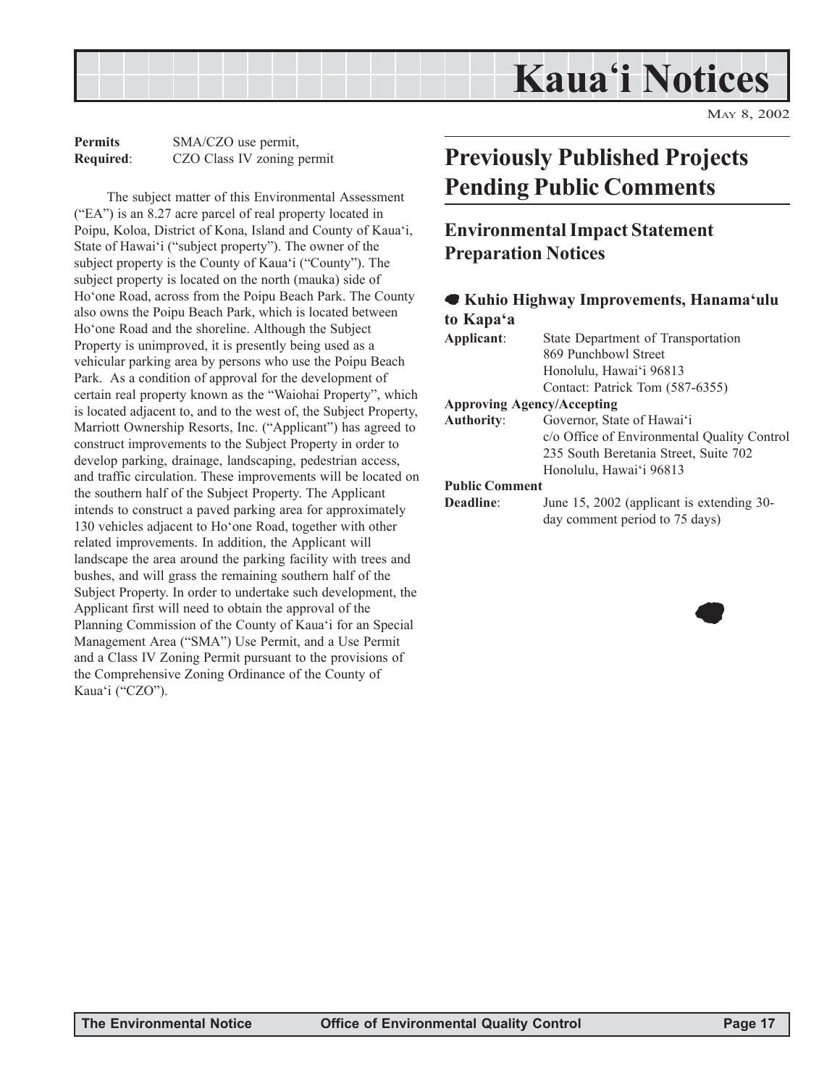

**Permits** SMA/CZO use permit, **Required**: CZO Class IV zoning permit

The subject matter of this Environmental Assessment  $("EA")$  is an 8.27 acre parcel of real property located in Poipu, Koloa, District of Kona, Island and County of Kaua'i, State of Hawai'i ("subject property"). The owner of the subject property is the County of Kaua'i ("County"). The subject property is located on the north (mauka) side of Hoëone Road, across from the Poipu Beach Park. The County also owns the Poipu Beach Park, which is located between Hoëone Road and the shoreline. Although the Subject Property is unimproved, it is presently being used as a vehicular parking area by persons who use the Poipu Beach Park. As a condition of approval for the development of certain real property known as the "Waiohai Property", which is located adjacent to, and to the west of, the Subject Property, Marriott Ownership Resorts, Inc. ("Applicant") has agreed to construct improvements to the Subject Property in order to develop parking, drainage, landscaping, pedestrian access, and traffic circulation. These improvements will be located on the southern half of the Subject Property. The Applicant intends to construct a paved parking area for approximately 130 vehicles adjacent to Ho'one Road, together with other related improvements. In addition, the Applicant will landscape the area around the parking facility with trees and bushes, and will grass the remaining southern half of the Subject Property. In order to undertake such development, the Applicant first will need to obtain the approval of the Planning Commission of the County of Kauaëi for an Special Management Area ("SMA") Use Permit, and a Use Permit and a Class IV Zoning Permit pursuant to the provisions of the Comprehensive Zoning Ordinance of the County of Kaua'i ("CZO").

# **Previously Published Projects Pending Public Comments**

# **Environmental Impact Statement Preparation Notices**

#### 7 **Kuhio Highway Improvements, Hanamaëulu to Kapaëa**

| Applicant:            | State Department of Transportation          |
|-----------------------|---------------------------------------------|
|                       | 869 Punchbowl Street                        |
|                       | Honolulu, Hawai'i 96813                     |
|                       | Contact: Patrick Tom (587-6355)             |
|                       | <b>Approving Agency/Accepting</b>           |
| <b>Authority:</b>     | Governor, State of Hawai'i                  |
|                       | c/o Office of Environmental Quality Control |
|                       | 235 South Beretania Street, Suite 702       |
|                       | Honolulu, Hawai'i 96813                     |
| <b>Public Comment</b> |                                             |
| Deadline:             | June 15, 2002 (applicant is extending 30-   |
|                       | day comment period to 75 days)              |

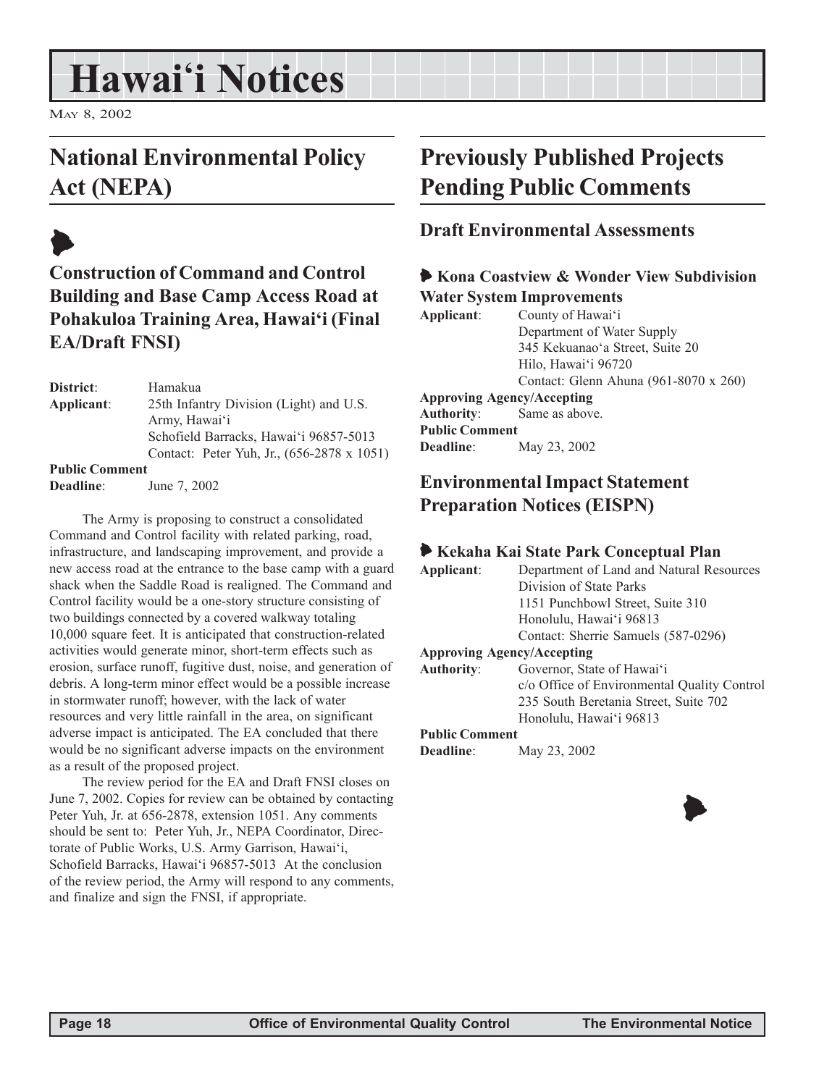# **Hawaiëi Notices**

MAY 8, 2002

# **National Environmental Policy Act (NEPA)**



| District:             | Hamakua                                    |
|-----------------------|--------------------------------------------|
| Applicant:            | 25th Infantry Division (Light) and U.S.    |
|                       | Army, Hawai'i                              |
|                       | Schofield Barracks, Hawai'i 96857-5013     |
|                       | Contact: Peter Yuh, Jr., (656-2878 x 1051) |
| <b>Public Comment</b> |                                            |
| <b>Deadline:</b>      | June 7, 2002                               |

The Army is proposing to construct a consolidated Command and Control facility with related parking, road, infrastructure, and landscaping improvement, and provide a new access road at the entrance to the base camp with a guard shack when the Saddle Road is realigned. The Command and Control facility would be a one-story structure consisting of two buildings connected by a covered walkway totaling 10,000 square feet. It is anticipated that construction-related activities would generate minor, short-term effects such as erosion, surface runoff, fugitive dust, noise, and generation of debris. A long-term minor effect would be a possible increase in stormwater runoff; however, with the lack of water resources and very little rainfall in the area, on significant adverse impact is anticipated. The EA concluded that there would be no significant adverse impacts on the environment as a result of the proposed project.

The review period for the EA and Draft FNSI closes on June 7, 2002. Copies for review can be obtained by contacting Peter Yuh, Jr. at 656-2878, extension 1051. Any comments should be sent to: Peter Yuh, Jr., NEPA Coordinator, Directorate of Public Works, U.S. Army Garrison, Hawai'i, Schofield Barracks, Hawai'i 96857-5013 At the conclusion of the review period, the Army will respond to any comments, and finalize and sign the FNSI, if appropriate.

# **Previously Published Projects Pending Public Comments**

## **Draft Environmental Assessments**

#### 6 **Kona Coastview & Wonder View Subdivision Water System Improvements**

| Applicant:            | County of Hawai'i                     |  |
|-----------------------|---------------------------------------|--|
|                       | Department of Water Supply            |  |
|                       | 345 Kekuanao'a Street, Suite 20       |  |
|                       | Hilo, Hawai'i 96720                   |  |
|                       | Contact: Glenn Ahuna (961-8070 x 260) |  |
|                       | <b>Approving Agency/Accepting</b>     |  |
|                       | <b>Authority:</b> Same as above.      |  |
| <b>Public Comment</b> |                                       |  |
| <b>Deadline:</b>      | May 23, 2002                          |  |

# **Environmental Impact Statement Preparation Notices (EISPN)**

|                       | Kekaha Kai State Park Conceptual Plan       |
|-----------------------|---------------------------------------------|
| Applicant:            | Department of Land and Natural Resources    |
|                       | Division of State Parks                     |
|                       | 1151 Punchbowl Street, Suite 310            |
|                       | Honolulu, Hawai'i 96813                     |
|                       | Contact: Sherrie Samuels (587-0296)         |
|                       | <b>Approving Agency/Accepting</b>           |
| <b>Authority:</b>     | Governor, State of Hawai'i                  |
|                       | c/o Office of Environmental Quality Control |
|                       | 235 South Beretania Street, Suite 702       |
|                       | Honolulu, Hawai'i 96813                     |
| <b>Public Comment</b> |                                             |

**Deadline**: May 23, 2002



 $\blacklozenge$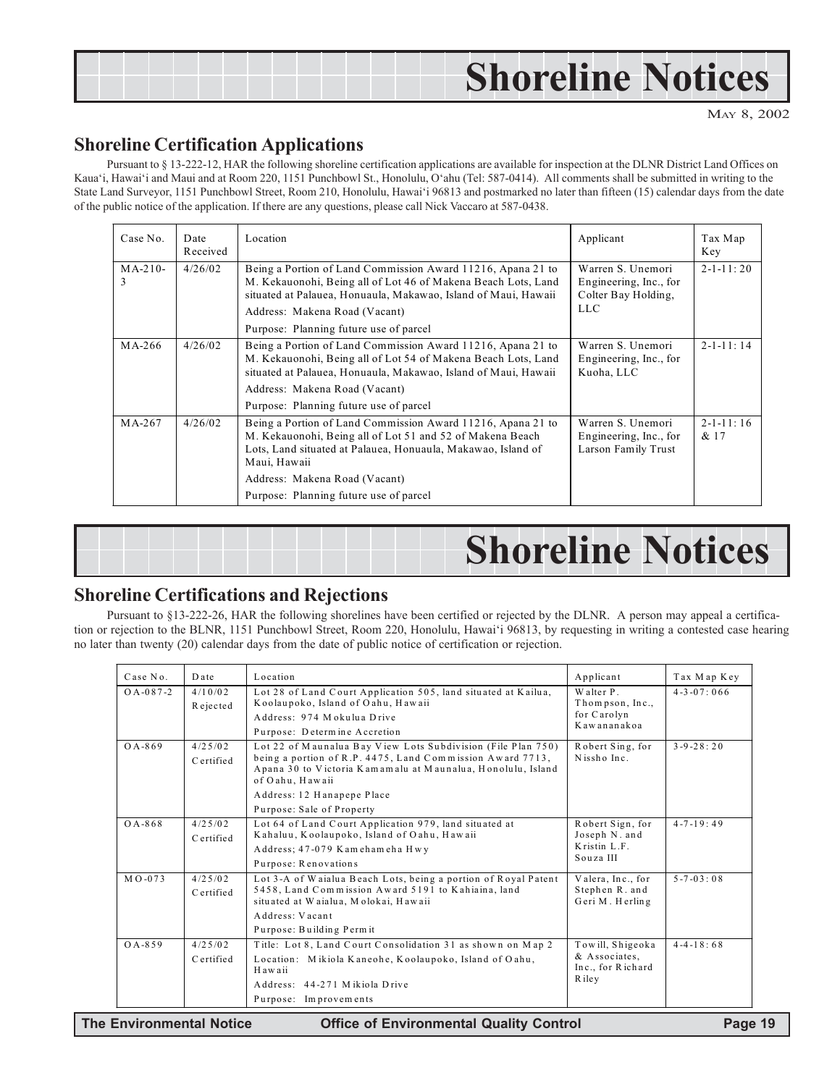# **Shoreline Notices**

MAY 8, 2002

## **Shoreline Certification Applications**

Pursuant to ß 13-222-12, HAR the following shoreline certification applications are available for inspection at the DLNR District Land Offices on Kauaëi, Hawaiëi and Maui and at Room 220, 1151 Punchbowl St., Honolulu, Oëahu (Tel: 587-0414). All comments shall be submitted in writing to the State Land Surveyor, 1151 Punchbowl Street, Room 210, Honolulu, Hawaiëi 96813 and postmarked no later than fifteen (15) calendar days from the date of the public notice of the application. If there are any questions, please call Nick Vaccaro at 587-0438.

| Case No.       | Date<br>Received | Location                                                                                                                                                                                                                                                                            | Applicant                                                                        | Tax Map<br>Key            |
|----------------|------------------|-------------------------------------------------------------------------------------------------------------------------------------------------------------------------------------------------------------------------------------------------------------------------------------|----------------------------------------------------------------------------------|---------------------------|
| $MA-210-$<br>3 | 4/26/02          | Being a Portion of Land Commission Award 11216, Apana 21 to<br>M. Kekauonohi, Being all of Lot 46 of Makena Beach Lots, Land<br>situated at Palauea, Honuaula, Makawao, Island of Maui, Hawaii<br>Address: Makena Road (Vacant)<br>Purpose: Planning future use of parcel           | Warren S. Unemori<br>Engineering, Inc., for<br>Colter Bay Holding,<br><b>LLC</b> | $2 - 1 - 11 : 20$         |
| MA-266         | 4/26/02          | Being a Portion of Land Commission Award 11216, Apana 21 to<br>M. Kekauonohi, Being all of Lot 54 of Makena Beach Lots, Land<br>situated at Palauea, Honuaula, Makawao, Island of Maui, Hawaii<br>Address: Makena Road (Vacant)<br>Purpose: Planning future use of parcel           | Warren S. Unemori<br>Engineering, Inc., for<br>Kuoha, LLC                        | $2 - 1 - 11 : 14$         |
| $MA-267$       | 4/26/02          | Being a Portion of Land Commission Award 11216, Apana 21 to<br>M. Kekauonohi, Being all of Lot 51 and 52 of Makena Beach<br>Lots, Land situated at Palauea, Honuaula, Makawao, Island of<br>Maui, Hawaii<br>Address: Makena Road (Vacant)<br>Purpose: Planning future use of parcel | Warren S. Unemori<br>Engineering, Inc., for<br>Larson Family Trust               | $2 - 1 - 11 : 16$<br>& 17 |

| <b>Shoreline Notices</b> |
|--------------------------|
|                          |

## **Shoreline Certifications and Rejections**

Pursuant to ß13-222-26, HAR the following shorelines have been certified or rejected by the DLNR. A person may appeal a certification or rejection to the BLNR, 1151 Punchbowl Street, Room 220, Honolulu, Hawaiëi 96813, by requesting in writing a contested case hearing no later than twenty (20) calendar days from the date of public notice of certification or rejection.

| Case No.        | Date      | Location                                                                                                                 | Applicant                          | Tax Map Key        |
|-----------------|-----------|--------------------------------------------------------------------------------------------------------------------------|------------------------------------|--------------------|
| $O A - 087 - 2$ | 4/10/02   | Lot 28 of Land Court Application 505, land situated at Kailua,                                                           | Walter P.                          | $4 - 3 - 07 : 066$ |
|                 | Rejected  | Koolaupoko, Island of Oahu, Hawaii                                                                                       | Thompson, Inc.,<br>for Carolyn     |                    |
|                 |           | Address: 974 Mokulua Drive                                                                                               | Kawananakoa                        |                    |
|                 |           | Purpose: Determine Accretion                                                                                             |                                    |                    |
| $O A - 869$     | 4/25/02   | Lot 22 of Maunalua Bay View Lots Subdivision (File Plan 750)                                                             | Robert Sing, for                   | $3 - 9 - 28 : 20$  |
|                 | Certified | being a portion of R.P. 4475, Land Commission Award 7713,<br>Apana 30 to Victoria Kamamalu at Maunalua, Honolulu, Island | Nissho Inc.                        |                    |
|                 |           | of Oahu, Hawaii                                                                                                          |                                    |                    |
|                 |           | Address: 12 Hanapepe Place                                                                                               |                                    |                    |
|                 |           | Purpose: Sale of Property                                                                                                |                                    |                    |
| $O A - 868$     | 4/25/02   | Lot 64 of Land Court Application 979, land situated at                                                                   | Robert Sign, for                   | $4 - 7 - 19 : 49$  |
|                 | Certified | Kahaluu, Koolaupoko, Island of Oahu, Hawaii                                                                              | Joseph N. and<br>Kristin L.F.      |                    |
|                 |           | Address; 47-079 Kamehameha Hwy                                                                                           | Souza III                          |                    |
|                 |           | Purpose: Renovations                                                                                                     |                                    |                    |
| $M$ O-073       | 4/25/02   | Lot 3-A of Waialua Beach Lots, being a portion of Royal Patent                                                           | Valera, Inc., for                  | $5 - 7 - 03 : 08$  |
|                 | Certified | 5458, Land Commission Award 5191 to Kahiaina, land<br>situated at Waialua, Molokai, Hawaii                               | Stephen R. and<br>Geri M. Herling  |                    |
|                 |           | Address: Vacant                                                                                                          |                                    |                    |
|                 |           |                                                                                                                          |                                    |                    |
|                 |           | Purpose: Building Permit                                                                                                 |                                    |                    |
| $0A - 859$      | 4/25/02   | Title: Lot 8, Land Court Consolidation 31 as shown on Map 2                                                              | Towill, Shigeoka                   | $4 - 4 - 18 : 68$  |
|                 | Certified | Location: Mikiola Kaneohe, Koolaupoko, Island of Oahu,<br>Hawaii                                                         | & Associates.<br>Inc., for Richard |                    |
|                 |           | Address: 44-271 Mikiola Drive                                                                                            | R ile v                            |                    |
|                 |           | Purpose: Improvements                                                                                                    |                                    |                    |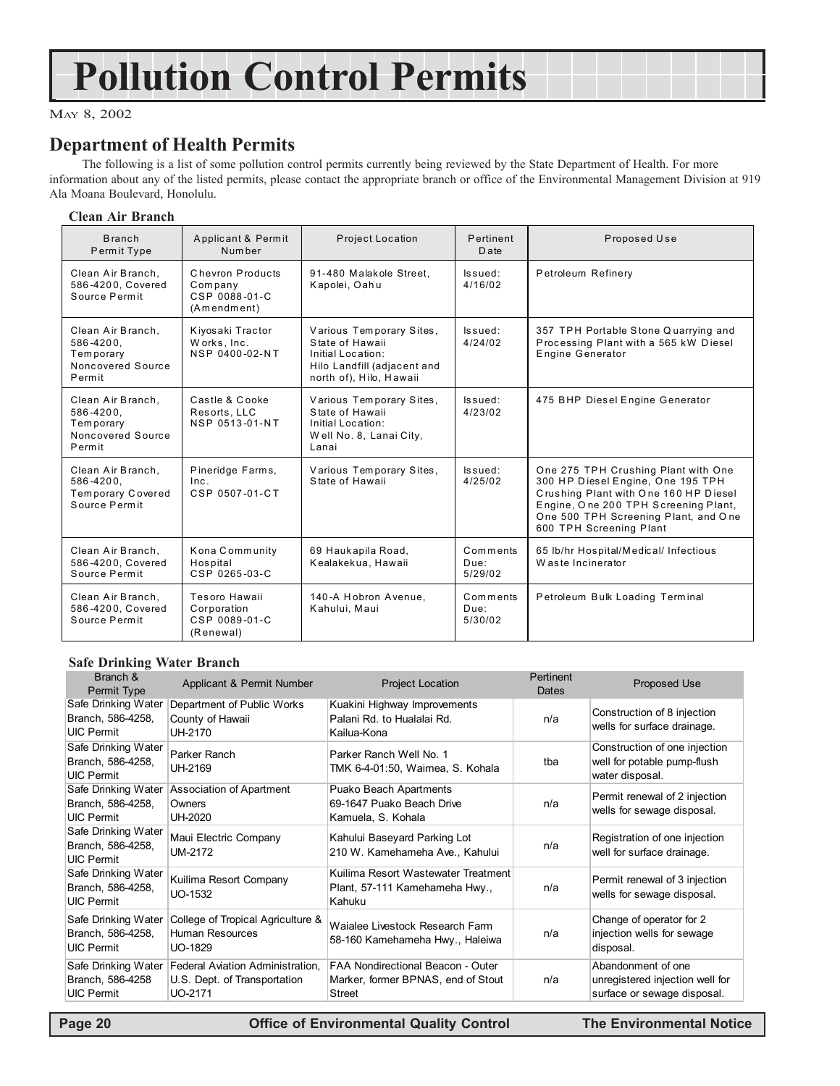# **Pollution Control Permits**

#### MAY 8, 2002

## **Department of Health Permits**

The following is a list of some pollution control permits currently being reviewed by the State Department of Health. For more information about any of the listed permits, please contact the appropriate branch or office of the Environmental Management Division at 919 Ala Moana Boulevard, Honolulu.

#### **Clean Air Branch**

| <b>Branch</b><br>Permit Type                                               | Applicant & Permit<br>Number                                | Project Location                                                                                                           | Pertinent<br>D ate          | Proposed Use                                                                                                                                                                                                                 |
|----------------------------------------------------------------------------|-------------------------------------------------------------|----------------------------------------------------------------------------------------------------------------------------|-----------------------------|------------------------------------------------------------------------------------------------------------------------------------------------------------------------------------------------------------------------------|
| Clean Air Branch,<br>586-4200. Covered<br>Source Permit                    | Chevron Products<br>Company<br>CSP 0088-01-C<br>(Amendment) | 91-480 Malakole Street.<br>Kapolei, Oahu                                                                                   | lssued:<br>4/16/02          | Petroleum Refinery                                                                                                                                                                                                           |
| Clean Air Branch.<br>586-4200.<br>Temporary<br>Noncovered Source<br>Permit | Kiyosaki Tractor<br>Works, Inc.<br>NSP 0400-02-NT           | Various Temporary Sites,<br>State of Hawaii<br>Initial Location:<br>Hilo Landfill (adjacent and<br>north of), Hilo, Hawaii | ls sued:<br>4/24/02         | 357 TPH Portable Stone Quarrying and<br>Processing Plant with a 565 kW Diesel<br><b>Engine Generator</b>                                                                                                                     |
| Clean Air Branch,<br>586-4200.<br>Temporary<br>Noncovered Source<br>Permit | Castle & Cooke<br>Resorts, LLC<br>NSP 0513-01-NT            | Various Temporary Sites,<br>State of Hawaii<br>Initial Location:<br>Well No. 8, Lanai City,<br>Lanai                       | lssued:<br>4/23/02          | 475 BHP Diesel Engine Generator                                                                                                                                                                                              |
| Clean Air Branch,<br>586-4200.<br>Temporary Covered<br>Source Permit       | Pineridge Farms,<br>Inc.<br>CSP 0507-01-CT                  | Various Temporary Sites,<br>State of Hawaii                                                                                | lssued:<br>4/25/02          | One 275 TPH Crushing Plant with One<br>300 HP Diesel Engine, One 195 TPH<br>Crushing Plant with One 160 HP Diesel<br>Engine, One 200 TPH Screening Plant,<br>One 500 TPH Screening Plant, and One<br>600 TPH Screening Plant |
| Clean Air Branch,<br>586-4200. Covered<br>Source Permit                    | Kona Community<br>Hospital<br>CSP 0265-03-C                 | 69 Haukapila Road,<br>Kealakekua, Hawaii                                                                                   | Comments<br>Due:<br>5/29/02 | 65 lb/hr Hospital/Medical/ Infectious<br>Waste Incinerator                                                                                                                                                                   |
| Clean Air Branch,<br>586-4200, Covered<br>Source Permit                    | Tesoro Hawaii<br>Corporation<br>CSP 0089-01-C<br>(Renewal)  | 140-A Hobron Avenue,<br>Kahului, Maui                                                                                      | Comments<br>Due:<br>5/30/02 | Petroleum Bulk Loading Terminal                                                                                                                                                                                              |

#### **Safe Drinking Water Branch**

| Branch &<br>Permit Type                                       | Applicant & Permit Number                                                   | <b>Project Location</b>                                                                         | Pertinent<br>Dates | <b>Proposed Use</b>                                                                  |
|---------------------------------------------------------------|-----------------------------------------------------------------------------|-------------------------------------------------------------------------------------------------|--------------------|--------------------------------------------------------------------------------------|
| Safe Drinking Water<br>Branch, 586-4258,<br><b>UIC Permit</b> | Department of Public Works<br>County of Hawaii<br>UH-2170                   | Kuakini Highway Improvements<br>Palani Rd. to Hualalai Rd.<br>Kailua-Kona                       | n/a                | Construction of 8 injection<br>wells for surface drainage.                           |
| Safe Drinking Water<br>Branch, 586-4258,<br><b>UIC Permit</b> | Parker Ranch<br>UH-2169                                                     | Parker Ranch Well No. 1<br>TMK 6-4-01:50, Waimea, S. Kohala                                     | tba                | Construction of one injection<br>well for potable pump-flush<br>water disposal.      |
| Safe Drinking Water<br>Branch, 586-4258,<br><b>UIC Permit</b> | Association of Apartment<br>Owners<br>UH-2020                               | Puako Beach Apartments<br>69-1647 Puako Beach Drive<br>Kamuela, S. Kohala                       | n/a                | Permit renewal of 2 injection<br>wells for sewage disposal.                          |
| Safe Drinking Water<br>Branch, 586-4258,<br><b>UIC Permit</b> | Maui Electric Company<br>UM-2172                                            | Kahului Baseyard Parking Lot<br>210 W. Kamehameha Ave., Kahului                                 | n/a                | Registration of one injection<br>well for surface drainage.                          |
| Safe Drinking Water<br>Branch, 586-4258,<br><b>UIC Permit</b> | Kuilima Resort Company<br>UO-1532                                           | Kuilima Resort Wastewater Treatment<br>Plant, 57-111 Kamehameha Hwy.,<br>Kahuku                 | n/a                | Permit renewal of 3 injection<br>wells for sewage disposal.                          |
| Safe Drinking Water<br>Branch, 586-4258,<br><b>UIC Permit</b> | College of Tropical Agriculture &<br>Human Resources<br>UO-1829             | Waialee Livestock Research Farm<br>58-160 Kamehameha Hwy., Haleiwa                              | n/a                | Change of operator for 2<br>injection wells for sewage<br>disposal.                  |
| Safe Drinking Water<br>Branch, 586-4258<br><b>UIC Permit</b>  | Federal Aviation Administration.<br>U.S. Dept. of Transportation<br>UO-2171 | <b>FAA Nondirectional Beacon - Outer</b><br>Marker, former BPNAS, end of Stout<br><b>Street</b> | n/a                | Abandonment of one<br>unregistered injection well for<br>surface or sewage disposal. |

 **Page 20 Control Control Control Control Page 20 Control Page 20 Control Page 20 Control Page 20 Control Page 20 Control Page 20 Control Page 20 Control Page 20 Control Page 20 Control Page 20 Control Page 20 Control Page**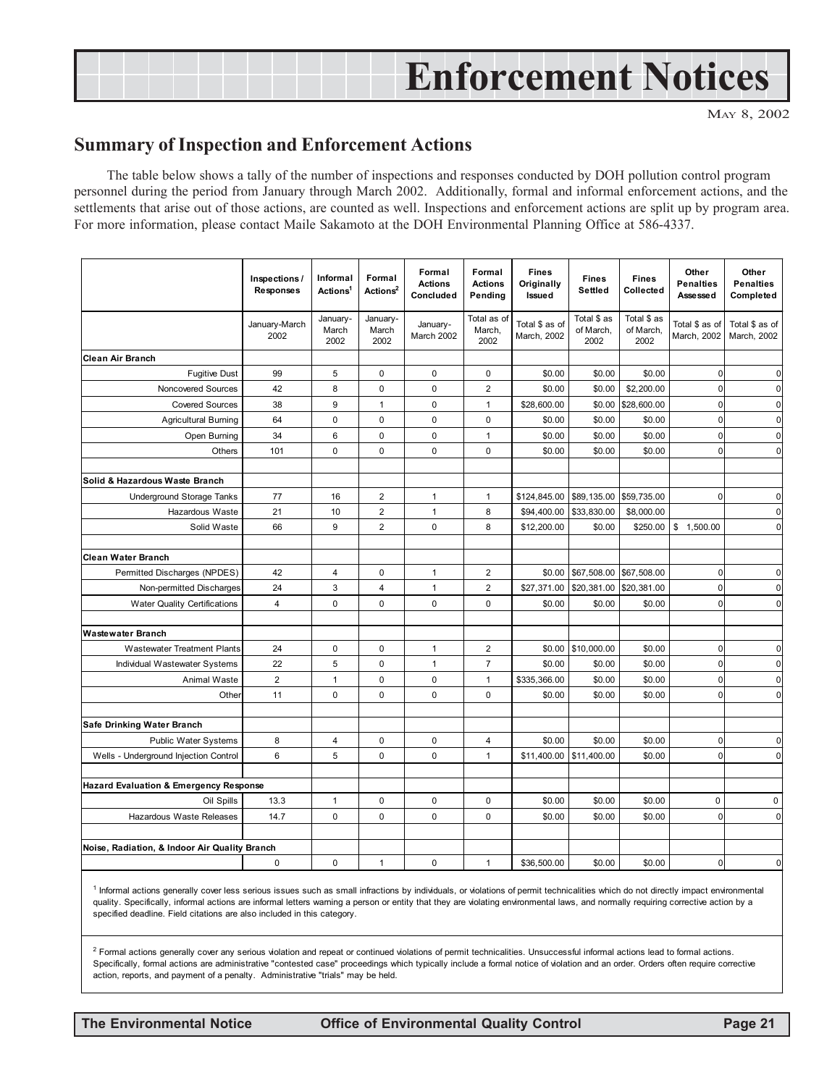# **Enforcement Notices**

MAY 8, 2002

## **Summary of Inspection and Enforcement Actions**

The table below shows a tally of the number of inspections and responses conducted by DOH pollution control program personnel during the period from January through March 2002. Additionally, formal and informal enforcement actions, and the settlements that arise out of those actions, are counted as well. Inspections and enforcement actions are split up by program area. For more information, please contact Maile Sakamoto at the DOH Environmental Planning Office at 586-4337.

|                                                   | Inspections /<br><b>Responses</b> | Informal<br>Actions <sup>1</sup> | Formal<br>Actions <sup>2</sup> | Formal<br><b>Actions</b><br>Concluded | Formal<br><b>Actions</b><br>Pending | <b>Fines</b><br>Originally<br>Issued | <b>Fines</b><br>Settled          | <b>Fines</b><br>Collected        | Other<br><b>Penalties</b><br>Asse sse d | Other<br><b>Penalties</b><br>Completed |
|---------------------------------------------------|-----------------------------------|----------------------------------|--------------------------------|---------------------------------------|-------------------------------------|--------------------------------------|----------------------------------|----------------------------------|-----------------------------------------|----------------------------------------|
|                                                   | January-March<br>2002             | January-<br>March<br>2002        | January-<br>March<br>2002      | January-<br>March 2002                | Total as of<br>March,<br>2002       | Total \$ as of<br>March, 2002        | Total \$ as<br>of March,<br>2002 | Total \$ as<br>of March,<br>2002 | Total \$ as of<br>March, 2002           | Total \$ as of<br>March, 2002          |
| <b>Clean Air Branch</b>                           |                                   |                                  |                                |                                       |                                     |                                      |                                  |                                  |                                         |                                        |
| <b>Fugitive Dust</b>                              | 99                                | 5                                | $\mathbf 0$                    | $\mathbf 0$                           | $\mathbf 0$                         | \$0.00                               | \$0.00                           | \$0.00                           | $\mathbf{0}$                            | $\mathbf 0$                            |
| Noncovered Sources                                | 42                                | 8                                | $\pmb{0}$                      | $\pmb{0}$                             | $\overline{\mathbf{c}}$             | \$0.00                               | \$0.00                           | \$2,200.00                       | $\mathbf 0$                             | $\mathbf 0$                            |
| <b>Covered Sources</b>                            | 38                                | 9                                | $\mathbf{1}$                   | $\pmb{0}$                             | $\mathbf{1}$                        | \$28,600.00                          | \$0.00                           | \$28,600.00                      | $\mathbf 0$                             | $\mathbf 0$                            |
| <b>Agricultural Burning</b>                       | 64                                | 0                                | $\mathbf 0$                    | $\mathbf 0$                           | $\mathbf 0$                         | \$0.00                               | \$0.00                           | \$0.00                           | $\mathbf{0}$                            | $\mathbf{0}$                           |
| Open Burning                                      | 34                                | 6                                | $\mathbf 0$                    | $\mathbf 0$                           | $\mathbf{1}$                        | \$0.00                               | \$0.00                           | \$0.00                           | $\mathbf{0}$                            | $\overline{0}$                         |
| Others                                            | 101                               | $\Omega$                         | $\mathbf 0$                    | $\mathbf{0}$                          | $\Omega$                            | \$0.00                               | \$0.00                           | \$0.00                           | $\Omega$                                | $\mathbf 0$                            |
| Solid & Hazardous Waste Branch                    |                                   |                                  |                                |                                       |                                     |                                      |                                  |                                  |                                         |                                        |
| <b>Underground Storage Tanks</b>                  | 77                                | 16                               | $\overline{2}$                 | $\mathbf{1}$                          | $\mathbf{1}$                        | \$124,845.00                         | \$89,135.00                      | \$59,735.00                      | $\mathbf{0}$                            | $\mathbf 0$                            |
| Hazardous Waste                                   | 21                                | 10                               | $\overline{2}$                 | $\mathbf{1}$                          | 8                                   | \$94,400.00                          | \$33,830.00                      | \$8,000.00                       |                                         | $\mathbf 0$                            |
| Solid Waste                                       | 66                                | 9                                | $\overline{2}$                 | $\mathbf 0$                           | 8                                   | \$12,200.00                          | \$0.00                           | \$250.00                         | \$1,500.00                              | $\mathbf 0$                            |
|                                                   |                                   |                                  |                                |                                       |                                     |                                      |                                  |                                  |                                         |                                        |
| <b>Clean Water Branch</b>                         |                                   |                                  |                                |                                       |                                     |                                      |                                  |                                  |                                         |                                        |
| Permitted Discharges (NPDES)                      | 42                                | 4                                | $\mathbf 0$                    | $\mathbf{1}$                          | $\overline{2}$                      | \$0.00                               | \$67,508.00 \$67,508.00          |                                  | $\mathbf{0}$                            | $\mathbf 0$                            |
| Non-permitted Discharges                          | 24                                | 3                                | $\overline{4}$                 | $\mathbf{1}$                          | $\overline{2}$                      | \$27,371.00                          | \$20,381.00                      | \$20,381.00                      | $\mathbf{0}$                            | $\mathbf 0$                            |
| <b>Water Quality Certifications</b>               | 4                                 | $\pmb{0}$                        | 0                              | $\pmb{0}$                             | 0                                   | \$0.00                               | \$0.00                           | \$0.00                           | 0                                       | $\mathbf 0$                            |
| <b>Wastewater Branch</b>                          |                                   |                                  |                                |                                       |                                     |                                      |                                  |                                  |                                         |                                        |
| <b>Wastewater Treatment Plants</b>                | 24                                | 0                                | $\mathbf 0$                    | $\mathbf{1}$                          | $\overline{2}$                      |                                      | \$0.00 \$10,000.00               | \$0.00                           | 0                                       | $\overline{0}$                         |
| Individual Wastewater Systems                     | 22                                | 5                                | $\pmb{0}$                      | $\mathbf{1}$                          | $\overline{7}$                      | \$0.00                               | \$0.00                           | \$0.00                           | $\mathbf 0$                             | $\mathbf 0$                            |
| Animal Waste                                      | $\overline{c}$                    | $\mathbf{1}$                     | $\pmb{0}$                      | $\pmb{0}$                             | $\mathbf{1}$                        | \$335,366.00                         | \$0.00                           | \$0.00                           | $\mathbf{0}$                            | $\mathbf 0$                            |
| Other                                             | 11                                | $\mathbf 0$                      | $\mathbf 0$                    | $\mathbf 0$                           | 0                                   | \$0.00                               | \$0.00                           | \$0.00                           | $\mathbf{0}$                            | $\overline{0}$                         |
|                                                   |                                   |                                  |                                |                                       |                                     |                                      |                                  |                                  |                                         |                                        |
| Safe Drinking Water Branch                        |                                   |                                  |                                |                                       |                                     |                                      |                                  |                                  |                                         |                                        |
| <b>Public Water Systems</b>                       | 8                                 | 4                                | 0                              | $\pmb{0}$                             | 4                                   | \$0.00                               | \$0.00                           | \$0.00                           | 0                                       | 0                                      |
| Wells - Underground Injection Control             | 6                                 | 5                                | $\mathbf 0$                    | $\mathbf 0$                           | $\mathbf{1}$                        | \$11,400.00 \$11,400.00              |                                  | \$0.00                           | $\mathbf{0}$                            | $\mathbf{0}$                           |
|                                                   |                                   |                                  |                                |                                       |                                     |                                      |                                  |                                  |                                         |                                        |
| <b>Hazard Evaluation &amp; Emergency Response</b> |                                   |                                  |                                |                                       |                                     |                                      |                                  |                                  |                                         |                                        |
| Oil Spills                                        | 13.3                              | $\mathbf{1}$                     | $\mathbf 0$                    | $\mathbf 0$                           | $\mathbf 0$                         | \$0.00                               | \$0.00                           | \$0.00                           | $\Omega$                                | $\mathbf 0$                            |
| Hazardous Waste Releases                          | 14.7                              | 0                                | $\mathbf 0$                    | $\mathbf 0$                           | 0                                   | \$0.00                               | \$0.00                           | \$0.00                           | $\mathbf{0}$                            | $\mathbf 0$                            |
|                                                   |                                   |                                  |                                |                                       |                                     |                                      |                                  |                                  |                                         |                                        |
| Noise, Radiation, & Indoor Air Quality Branch     |                                   |                                  |                                |                                       |                                     |                                      |                                  |                                  |                                         |                                        |
|                                                   | 0                                 | 0                                | $\mathbf{1}$                   | $\mathbf 0$                           | $\mathbf{1}$                        | \$36,500.00                          | \$0.00                           | \$0.00                           | $\mathbf{0}$                            | $\overline{0}$                         |

<sup>1</sup> Informal actions generally cover less serious issues such as small infractions by individuals, or violations of permit technicalities which do not directly impact environmental quality. Specifically, informal actions are informal letters warning a person or entity that they are violating environmental laws, and normally requiring corrective action by a specified deadline. Field citations are also included in this category.

<sup>2</sup> Formal actions generally cover any serious violation and repeat or continued violations of permit technicalities. Unsuccessful informal actions lead to formal actions. Specifically, formal actions are administrative "contested case" proceedings which typically include a formal notice of violation and an order. Orders often require corrective action, reports, and payment of a penalty. Administrative "trials" may be held.

**The Environmental Notice Office of Environmental Quality Control Page 21**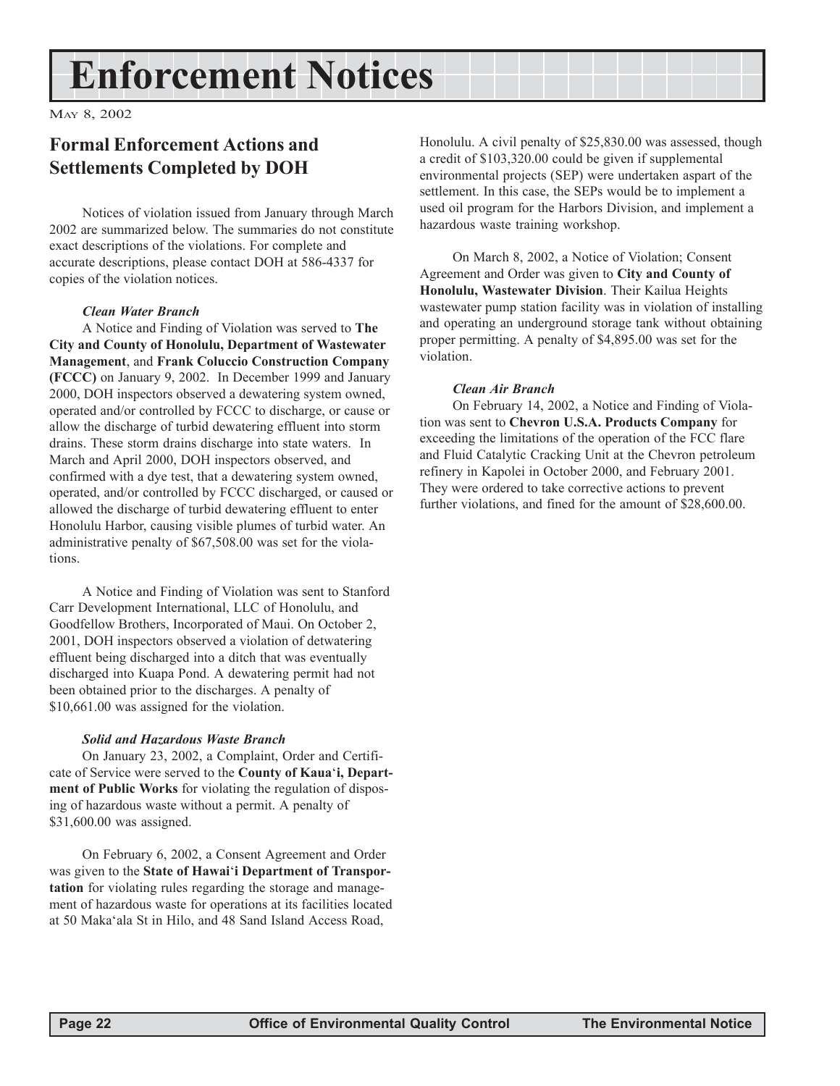# **Enforcement Notices**

MAY 8, 2002

# **Formal Enforcement Actions and Settlements Completed by DOH**

Notices of violation issued from January through March 2002 are summarized below. The summaries do not constitute exact descriptions of the violations. For complete and accurate descriptions, please contact DOH at 586-4337 for copies of the violation notices.

#### *Clean Water Branch*

A Notice and Finding of Violation was served to **The City and County of Honolulu, Department of Wastewater Management**, and **Frank Coluccio Construction Company (FCCC)** on January 9, 2002. In December 1999 and January 2000, DOH inspectors observed a dewatering system owned, operated and/or controlled by FCCC to discharge, or cause or allow the discharge of turbid dewatering effluent into storm drains. These storm drains discharge into state waters. In March and April 2000, DOH inspectors observed, and confirmed with a dye test, that a dewatering system owned, operated, and/or controlled by FCCC discharged, or caused or allowed the discharge of turbid dewatering effluent to enter Honolulu Harbor, causing visible plumes of turbid water. An administrative penalty of \$67,508.00 was set for the violations.

A Notice and Finding of Violation was sent to Stanford Carr Development International, LLC of Honolulu, and Goodfellow Brothers, Incorporated of Maui. On October 2, 2001, DOH inspectors observed a violation of detwatering effluent being discharged into a ditch that was eventually discharged into Kuapa Pond. A dewatering permit had not been obtained prior to the discharges. A penalty of \$10,661.00 was assigned for the violation.

#### *Solid and Hazardous Waste Branch*

On January 23, 2002, a Complaint, Order and Certificate of Service were served to the **County of Kaua**ë**i, Department of Public Works** for violating the regulation of disposing of hazardous waste without a permit. A penalty of \$31,600.00 was assigned.

On February 6, 2002, a Consent Agreement and Order was given to the **State of Hawai**ë**i Department of Transportation** for violating rules regarding the storage and management of hazardous waste for operations at its facilities located at 50 Makaëala St in Hilo, and 48 Sand Island Access Road,

Honolulu. A civil penalty of \$25,830.00 was assessed, though a credit of \$103,320.00 could be given if supplemental environmental projects (SEP) were undertaken aspart of the settlement. In this case, the SEPs would be to implement a used oil program for the Harbors Division, and implement a hazardous waste training workshop.

On March 8, 2002, a Notice of Violation; Consent Agreement and Order was given to **City and County of Honolulu, Wastewater Division**. Their Kailua Heights wastewater pump station facility was in violation of installing and operating an underground storage tank without obtaining proper permitting. A penalty of \$4,895.00 was set for the violation.

#### *Clean Air Branch*

On February 14, 2002, a Notice and Finding of Violation was sent to **Chevron U.S.A. Products Company** for exceeding the limitations of the operation of the FCC flare and Fluid Catalytic Cracking Unit at the Chevron petroleum refinery in Kapolei in October 2000, and February 2001. They were ordered to take corrective actions to prevent further violations, and fined for the amount of \$28,600.00.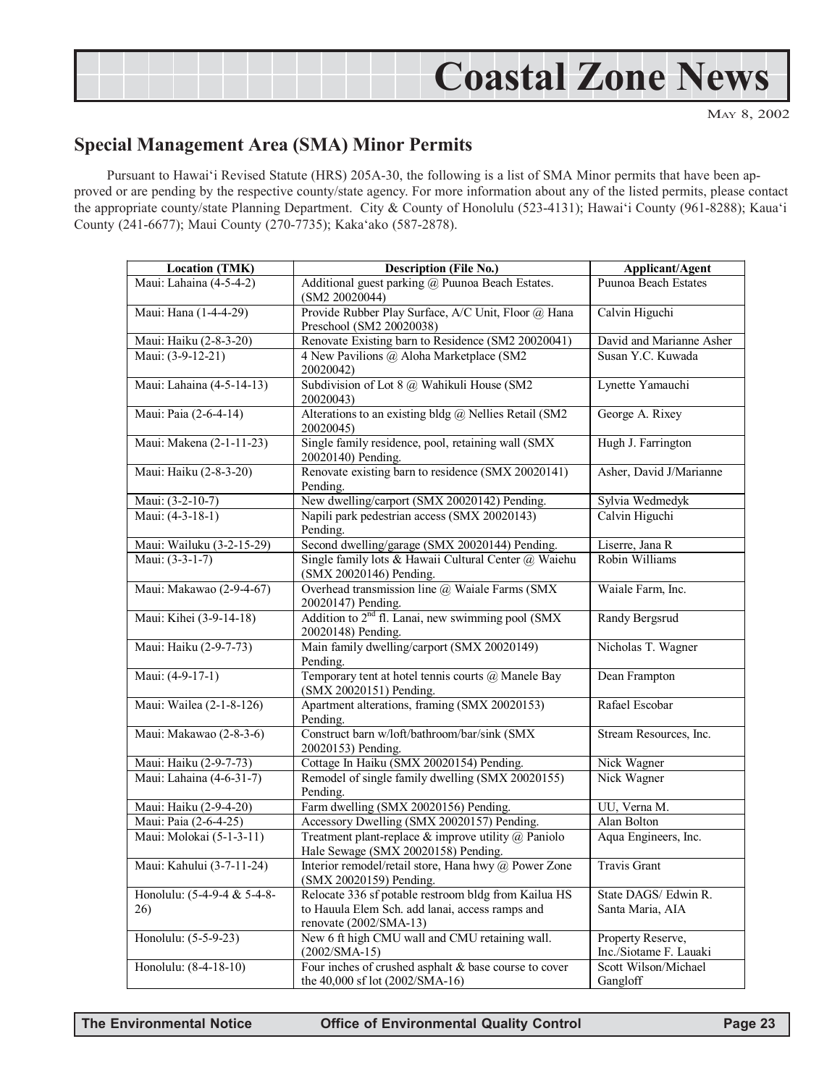

## **Special Management Area (SMA) Minor Permits**

Pursuant to Hawai'i Revised Statute (HRS) 205A-30, the following is a list of SMA Minor permits that have been approved or are pending by the respective county/state agency. For more information about any of the listed permits, please contact the appropriate county/state Planning Department. City & County of Honolulu (523-4131); Hawai'i County (961-8288); Kaua'i County (241-6677); Maui County (270-7735); Kakaëako (587-2878).

| <b>Location (TMK)</b>       | <b>Description (File No.)</b>                                                                    | Applicant/Agent                             |  |  |
|-----------------------------|--------------------------------------------------------------------------------------------------|---------------------------------------------|--|--|
| Maui: Lahaina (4-5-4-2)     | Additional guest parking @ Puunoa Beach Estates.<br>(SM2 20020044)                               | Puunoa Beach Estates                        |  |  |
| Maui: Hana (1-4-4-29)       | Provide Rubber Play Surface, A/C Unit, Floor @ Hana<br>Preschool (SM2 20020038)                  | Calvin Higuchi                              |  |  |
| Maui: Haiku (2-8-3-20)      | Renovate Existing barn to Residence (SM2 20020041)                                               | David and Marianne Asher                    |  |  |
| Maui: (3-9-12-21)           | 4 New Pavilions @ Aloha Marketplace (SM2<br>20020042)                                            | Susan Y.C. Kuwada                           |  |  |
| Maui: Lahaina (4-5-14-13)   | Subdivision of Lot 8 @ Wahikuli House (SM2<br>20020043)                                          | Lynette Yamauchi                            |  |  |
| Maui: Paia (2-6-4-14)       | Alterations to an existing bldg @ Nellies Retail (SM2<br>20020045)                               | George A. Rixey                             |  |  |
| Maui: Makena (2-1-11-23)    | Single family residence, pool, retaining wall (SMX<br>20020140) Pending.                         | Hugh J. Farrington                          |  |  |
| Maui: Haiku (2-8-3-20)      | Renovate existing barn to residence (SMX 20020141)<br>Pending.                                   | Asher, David J/Marianne                     |  |  |
| Maui: (3-2-10-7)            | New dwelling/carport (SMX 20020142) Pending.                                                     | Sylvia Wedmedyk                             |  |  |
| Maui: (4-3-18-1)            | Napili park pedestrian access (SMX 20020143)<br>Pending.                                         | Calvin Higuchi                              |  |  |
| Maui: Wailuku (3-2-15-29)   | Second dwelling/garage (SMX 20020144) Pending.                                                   | Liserre, Jana R                             |  |  |
| Maui: (3-3-1-7)             | Single family lots & Hawaii Cultural Center @ Waiehu<br>(SMX 20020146) Pending.                  | Robin Williams                              |  |  |
| Maui: Makawao (2-9-4-67)    | Overhead transmission line @ Waiale Farms (SMX<br>20020147) Pending.                             | Waiale Farm, Inc.                           |  |  |
| Maui: Kihei (3-9-14-18)     | Addition to 2 <sup>nd</sup> fl. Lanai, new swimming pool (SMX<br>20020148) Pending.              | <b>Randy Bergsrud</b>                       |  |  |
| Maui: Haiku (2-9-7-73)      | Main family dwelling/carport (SMX 20020149)<br>Pending.                                          | Nicholas T. Wagner                          |  |  |
| Maui: (4-9-17-1)            | Temporary tent at hotel tennis courts @ Manele Bay<br>(SMX 20020151) Pending.                    | Dean Frampton                               |  |  |
| Maui: Wailea (2-1-8-126)    | Apartment alterations, framing (SMX 20020153)<br>Pending.                                        | Rafael Escobar                              |  |  |
| Maui: Makawao (2-8-3-6)     | Construct barn w/loft/bathroom/bar/sink (SMX<br>20020153) Pending.                               | Stream Resources, Inc.                      |  |  |
| Maui: Haiku (2-9-7-73)      | Cottage In Haiku (SMX 20020154) Pending.                                                         | Nick Wagner                                 |  |  |
| Maui: Lahaina (4-6-31-7)    | Remodel of single family dwelling (SMX 20020155)<br>Pending.                                     | Nick Wagner                                 |  |  |
| Maui: Haiku (2-9-4-20)      | Farm dwelling (SMX 20020156) Pending.                                                            | UU, Verna M.                                |  |  |
| Maui: Paia (2-6-4-25)       | Accessory Dwelling (SMX 20020157) Pending.                                                       | Alan Bolton                                 |  |  |
| Maui: Molokai (5-1-3-11)    | Treatment plant-replace $\&$ improve utility $\ω$ Paniolo<br>Hale Sewage (SMX 20020158) Pending. | Aqua Engineers, Inc.                        |  |  |
| Maui: Kahului (3-7-11-24)   | Interior remodel/retail store, Hana hwy @ Power Zone<br>(SMX 20020159) Pending.                  | Travis Grant                                |  |  |
| Honolulu: (5-4-9-4 & 5-4-8- | Relocate 336 sf potable restroom bldg from Kailua HS                                             | State DAGS/ Edwin R.                        |  |  |
| 26)                         | to Hauula Elem Sch. add lanai, access ramps and<br>renovate $(2002/SMA-13)$                      | Santa Maria, AIA                            |  |  |
| Honolulu: (5-5-9-23)        | New 6 ft high CMU wall and CMU retaining wall.<br>$(2002/SMA-15)$                                | Property Reserve,<br>Inc./Siotame F. Lauaki |  |  |
| Honolulu: (8-4-18-10)       | Four inches of crushed asphalt & base course to cover<br>the 40,000 sf lot (2002/SMA-16)         | Scott Wilson/Michael<br>Gangloff            |  |  |

**The Environmental Notice Office of Environmental Quality Control Page 23**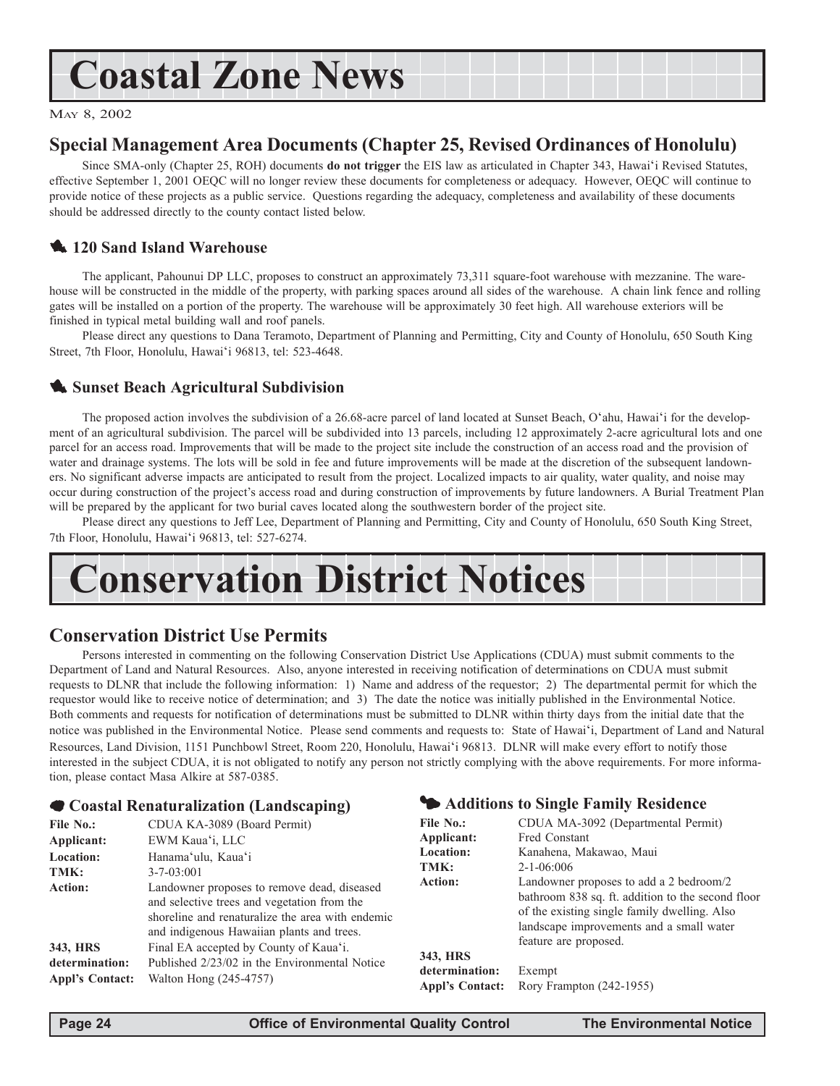# **Coastal Zone News**

MAY 8, 2002

## **Special Management Area Documents (Chapter 25, Revised Ordinances of Honolulu)**

Since SMA-only (Chapter 25, ROH) documents **do not trigger** the EIS law as articulated in Chapter 343, Hawai'i Revised Statutes, effective September 1, 2001 OEQC will no longer review these documents for completeness or adequacy. However, OEQC will continue to provide notice of these projects as a public service. Questions regarding the adequacy, completeness and availability of these documents should be addressed directly to the county contact listed below.

## **120 Sand Island Warehouse**

The applicant, Pahounui DP LLC, proposes to construct an approximately 73,311 square-foot warehouse with mezzanine. The warehouse will be constructed in the middle of the property, with parking spaces around all sides of the warehouse. A chain link fence and rolling gates will be installed on a portion of the property. The warehouse will be approximately 30 feet high. All warehouse exteriors will be finished in typical metal building wall and roof panels.

Please direct any questions to Dana Teramoto, Department of Planning and Permitting, City and County of Honolulu, 650 South King Street, 7th Floor, Honolulu, Hawai'i 96813, tel: 523-4648.

## **1.** Sunset Beach Agricultural Subdivision

The proposed action involves the subdivision of a 26.68-acre parcel of land located at Sunset Beach, O'ahu, Hawai'i for the development of an agricultural subdivision. The parcel will be subdivided into 13 parcels, including 12 approximately 2-acre agricultural lots and one parcel for an access road. Improvements that will be made to the project site include the construction of an access road and the provision of water and drainage systems. The lots will be sold in fee and future improvements will be made at the discretion of the subsequent landowners. No significant adverse impacts are anticipated to result from the project. Localized impacts to air quality, water quality, and noise may occur during construction of the projectís access road and during construction of improvements by future landowners. A Burial Treatment Plan will be prepared by the applicant for two burial caves located along the southwestern border of the project site.

Please direct any questions to Jeff Lee, Department of Planning and Permitting, City and County of Honolulu, 650 South King Street, 7th Floor, Honolulu, Hawaiëi 96813, tel: 527-6274.

# **Conservation District Notices**

## **Conservation District Use Permits**

Persons interested in commenting on the following Conservation District Use Applications (CDUA) must submit comments to the Department of Land and Natural Resources. Also, anyone interested in receiving notification of determinations on CDUA must submit requests to DLNR that include the following information: 1) Name and address of the requestor; 2) The departmental permit for which the requestor would like to receive notice of determination; and 3) The date the notice was initially published in the Environmental Notice. Both comments and requests for notification of determinations must be submitted to DLNR within thirty days from the initial date that the notice was published in the Environmental Notice. Please send comments and requests to: State of Hawaiëi, Department of Land and Natural Resources, Land Division, 1151 Punchbowl Street, Room 220, Honolulu, Hawaiëi 96813. DLNR will make every effort to notify those interested in the subject CDUA, it is not obligated to notify any person not strictly complying with the above requirements. For more information, please contact Masa Alkire at 587-0385.

#### 7 **Coastal Renaturalization (Landscaping)**

| File No.:                                                       | CDUA KA-3089 (Board Permit)                                                                                                                                                                 |                  |  |
|-----------------------------------------------------------------|---------------------------------------------------------------------------------------------------------------------------------------------------------------------------------------------|------------------|--|
| Applicant:                                                      | EWM Kaua'i, LLC                                                                                                                                                                             | Applic           |  |
| <b>Location:</b>                                                | Hanama'ulu, Kaua'i                                                                                                                                                                          | Locati           |  |
| TMK:                                                            | $3 - 7 - 03:001$                                                                                                                                                                            | TMK:             |  |
| Action:                                                         | Landowner proposes to remove dead, diseased<br>and selective trees and vegetation from the<br>shoreline and renaturalize the area with endemic<br>and indigenous Hawaiian plants and trees. | Action           |  |
| 343, HRS                                                        | Final EA accepted by County of Kaua'i.                                                                                                                                                      |                  |  |
| Published 2/23/02 in the Environmental Notice<br>determination: |                                                                                                                                                                                             | 343, H<br>detern |  |
| <b>Appl's Contact:</b>                                          | Walton Hong (245-4757)                                                                                                                                                                      |                  |  |

#### 3 **Additions to Single Family Residence**

| CDUA MA-3092 (Departmental Permit)                |
|---------------------------------------------------|
| Fred Constant                                     |
| Kanahena, Makawao, Maui                           |
| $2 - 1 - 06:006$                                  |
| Landowner proposes to add a 2 bedroom/2           |
| bathroom 838 sq. ft. addition to the second floor |
| of the existing single family dwelling. Also      |
| landscape improvements and a small water          |
| feature are proposed.                             |
|                                                   |
| Exempt                                            |
| Rory Frampton (242-1955)                          |
|                                                   |